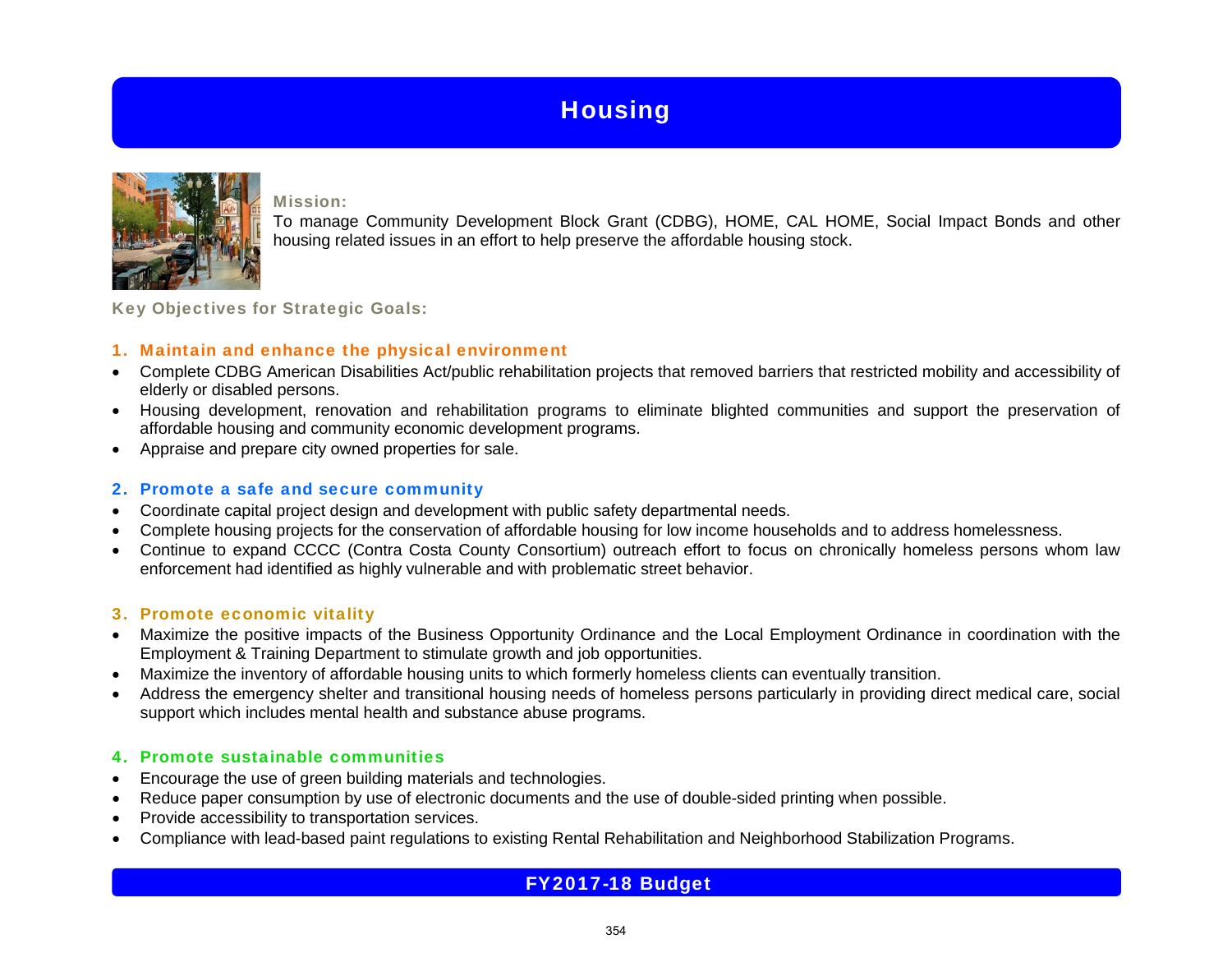

Mission:

To manage Community Development Block Grant (CDBG), HOME, CAL HOME, Social Impact Bonds and other housing related issues in an effort to help preserve the affordable housing stock.

Key Objectives for Strategic Goals:

## 1. Maintain and enhance the physical environment

- Complete CDBG American Disabilities Act/public rehabilitation projects that removed barriers that restricted mobility and accessibility of elderly or disabled persons.
- Housing development, renovation and rehabilitation programs to eliminate blighted communities and support the preservation of affordable housing and community economic development programs.
- Appraise and prepare city owned properties for sale.

## 2. Promote a safe and secure community

- Coordinate capital project design and development with public safety departmental needs.
- Complete housing projects for the conservation of affordable housing for low income households and to address homelessness.
- Continue to expand CCCC (Contra Costa County Consortium) outreach effort to focus on chronically homeless persons whom law enforcement had identified as highly vulnerable and with problematic street behavior.

## 3. Promote economic vitality

- Maximize the positive impacts of the Business Opportunity Ordinance and the Local Employment Ordinance in coordination with the Employment & Training Department to stimulate growth and job opportunities.
- Maximize the inventory of affordable housing units to which formerly homeless clients can eventually transition.
- Address the emergency shelter and transitional housing needs of homeless persons particularly in providing direct medical care, social support which includes mental health and substance abuse programs.

## 4. Promote sustainable communities

- Encourage the use of green building materials and technologies.
- Reduce paper consumption by use of electronic documents and the use of double-sided printing when possible.
- Provide accessibility to transportation services.
- Compliance with lead-based paint regulations to existing Rental Rehabilitation and Neighborhood Stabilization Programs.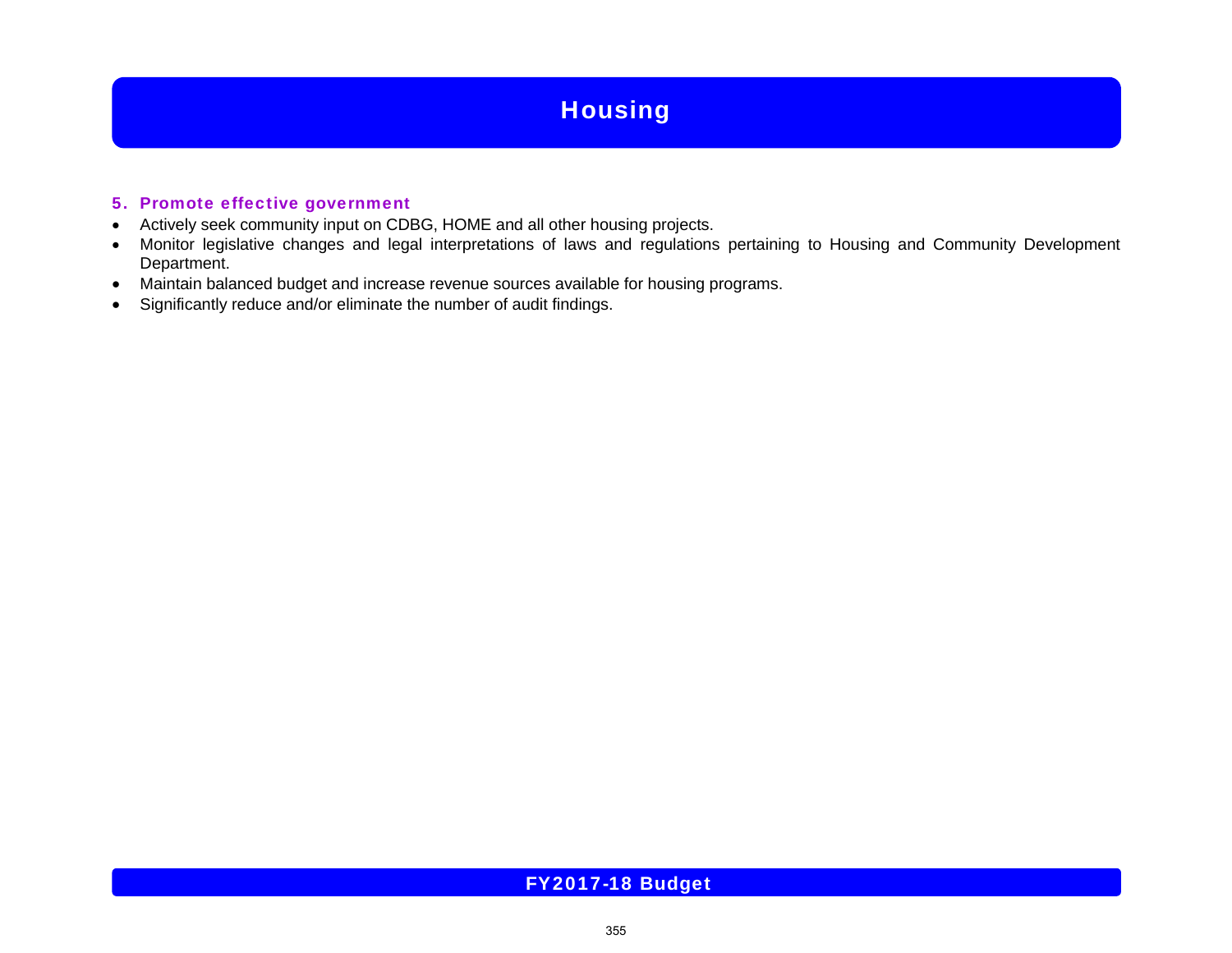## 5. Promote effective government

- Actively seek community input on CDBG, HOME and all other housing projects.
- Monitor legislative changes and legal interpretations of laws and regulations pertaining to Housing and Community Development Department.
- Maintain balanced budget and increase revenue sources available for housing programs.
- Significantly reduce and/or eliminate the number of audit findings.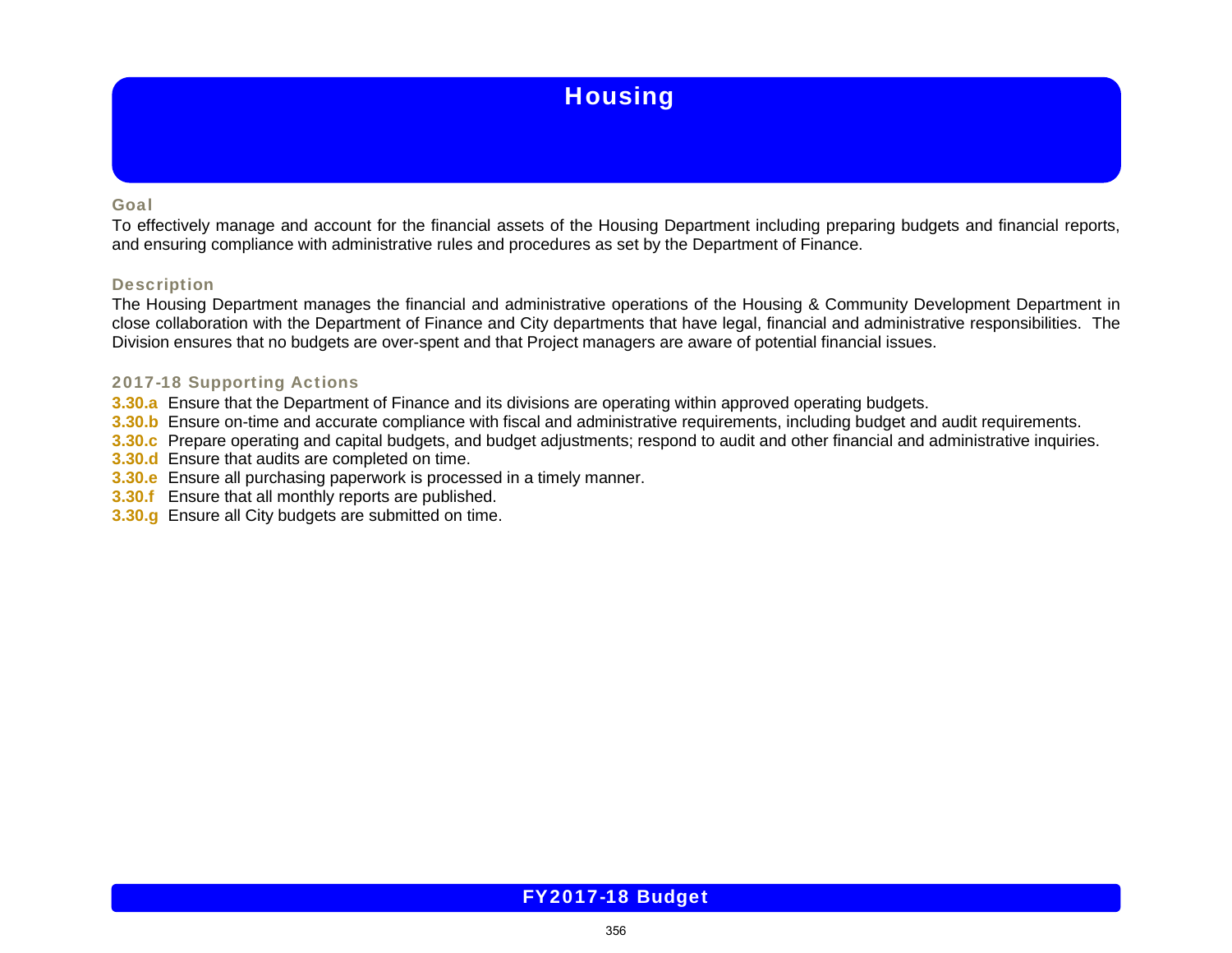### Goal

To effectively manage and account for the financial assets of the Housing Department including preparing budgets and financial reports, and ensuring compliance with administrative rules and procedures as set by the Department of Finance.

### **Description**

The Housing Department manages the financial and administrative operations of the Housing & Community Development Department in close collaboration with the Department of Finance and City departments that have legal, financial and administrative responsibilities. The Division ensures that no budgets are over-spent and that Project managers are aware of potential financial issues.

### 2017-18 Supporting Actions

- **3.30.a** Ensure that the Department of Finance and its divisions are operating within approved operating budgets.
- **3.30.b** Ensure on-time and accurate compliance with fiscal and administrative requirements, including budget and audit requirements.
- **3.30.c** Prepare operating and capital budgets, and budget adjustments; respond to audit and other financial and administrative inquiries.
- **3.30.d** Ensure that audits are completed on time.
- **3.30.e** Ensure all purchasing paperwork is processed in a timely manner.
- **3.30.f** Ensure that all monthly reports are published.
- **3.30.g** Ensure all City budgets are submitted on time.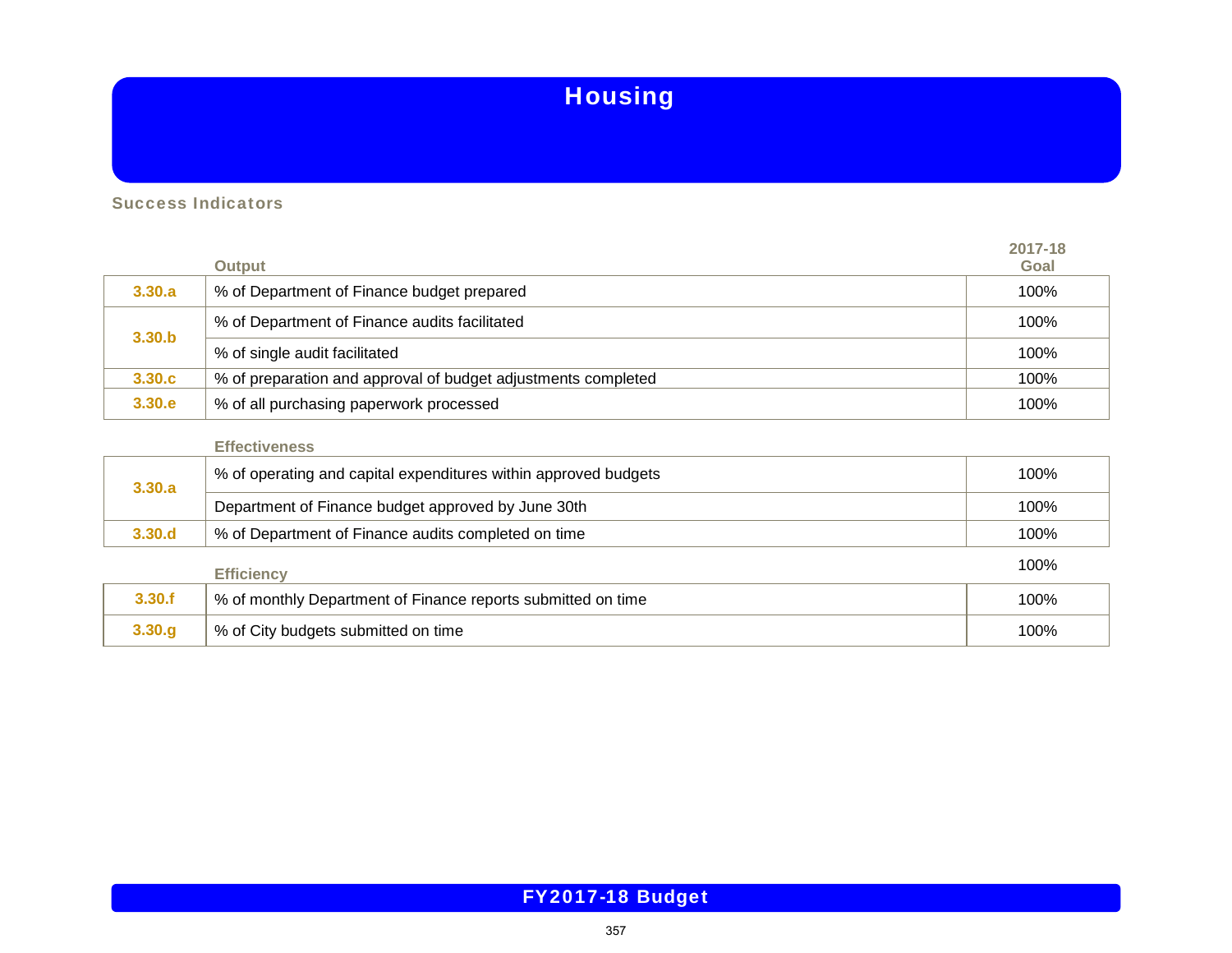Success Indicators

|                   | <b>Output</b>                                                 | 2017-18<br>Goal |
|-------------------|---------------------------------------------------------------|-----------------|
| 3,30,a            | % of Department of Finance budget prepared                    | 100%            |
|                   | % of Department of Finance audits facilitated                 | 100%            |
| 3.30 <sub>b</sub> | % of single audit facilitated                                 | 100%            |
| 3.30.c            | % of preparation and approval of budget adjustments completed | 100%            |
| 3.30.e            | % of all purchasing paperwork processed                       | 100%            |

## **Effectiveness**

| 3.30.a | % of operating and capital expenditures within approved budgets | 100% |
|--------|-----------------------------------------------------------------|------|
|        | Department of Finance budget approved by June 30th              | 100% |
| 3.30.d | % of Department of Finance audits completed on time             | 100% |
|        | <b>Efficiency</b>                                               | 100% |
| 3.30.f | % of monthly Department of Finance reports submitted on time    | 100% |
|        |                                                                 |      |

**3.30.g** % of City budgets submitted on time 100%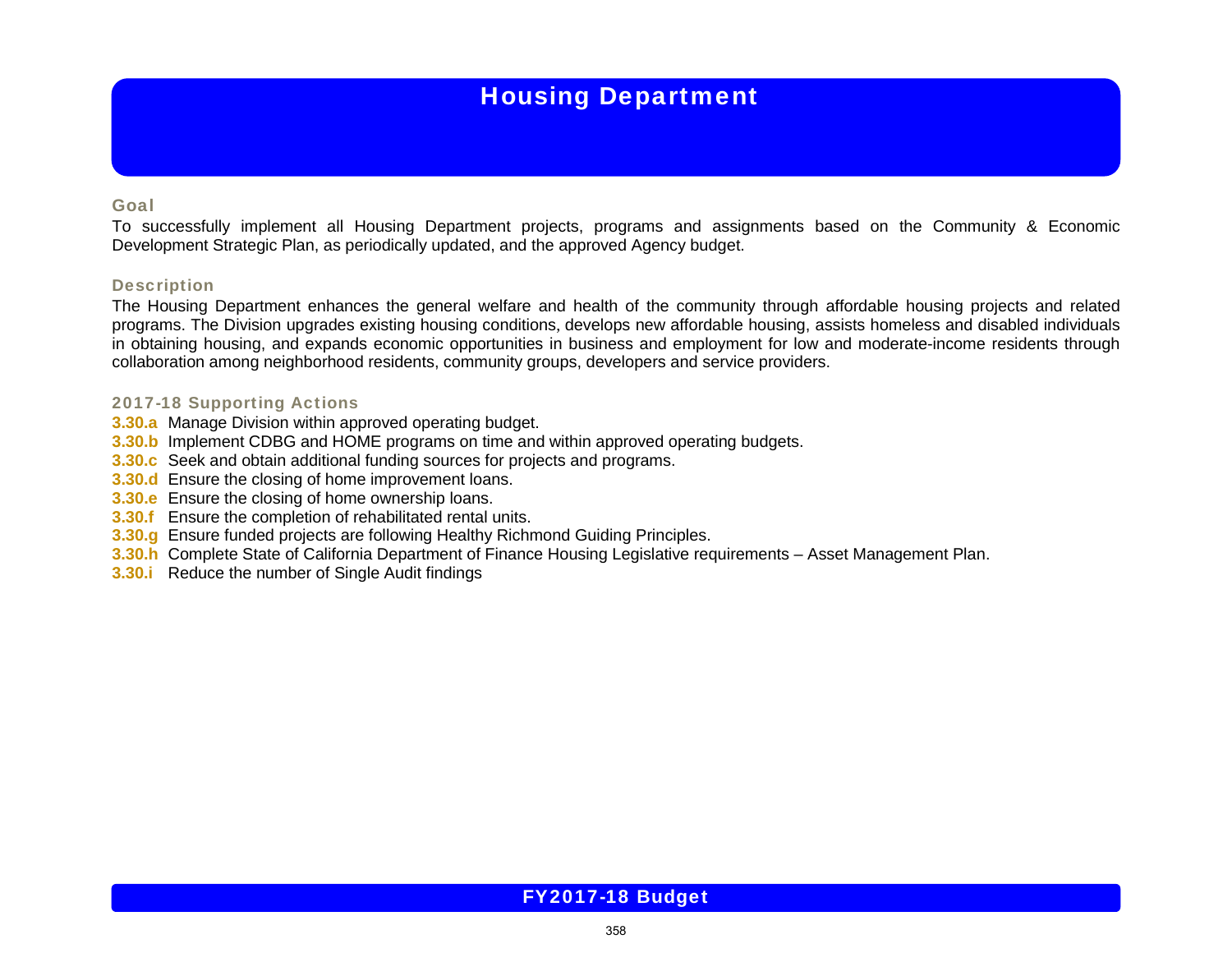# Housing Department

### Goal

To successfully implement all Housing Department projects, programs and assignments based on the Community & Economic Development Strategic Plan, as periodically updated, and the approved Agency budget.

### **Description**

The Housing Department enhances the general welfare and health of the community through affordable housing projects and related programs. The Division upgrades existing housing conditions, develops new affordable housing, assists homeless and disabled individuals in obtaining housing, and expands economic opportunities in business and employment for low and moderate-income residents through collaboration among neighborhood residents, community groups, developers and service providers.

### 2017-18 Supporting Actions

- **3.30.a** Manage Division within approved operating budget.
- **3.30.b** Implement CDBG and HOME programs on time and within approved operating budgets.
- **3.30.c** Seek and obtain additional funding sources for projects and programs.
- **3.30.d** Ensure the closing of home improvement loans.
- **3.30.e** Ensure the closing of home ownership loans.
- **3.30.f** Ensure the completion of rehabilitated rental units.
- **3.30.g** Ensure funded projects are following Healthy Richmond Guiding Principles.
- **3.30.h** Complete State of California Department of Finance Housing Legislative requirements Asset Management Plan.
- **3.30.i** Reduce the number of Single Audit findings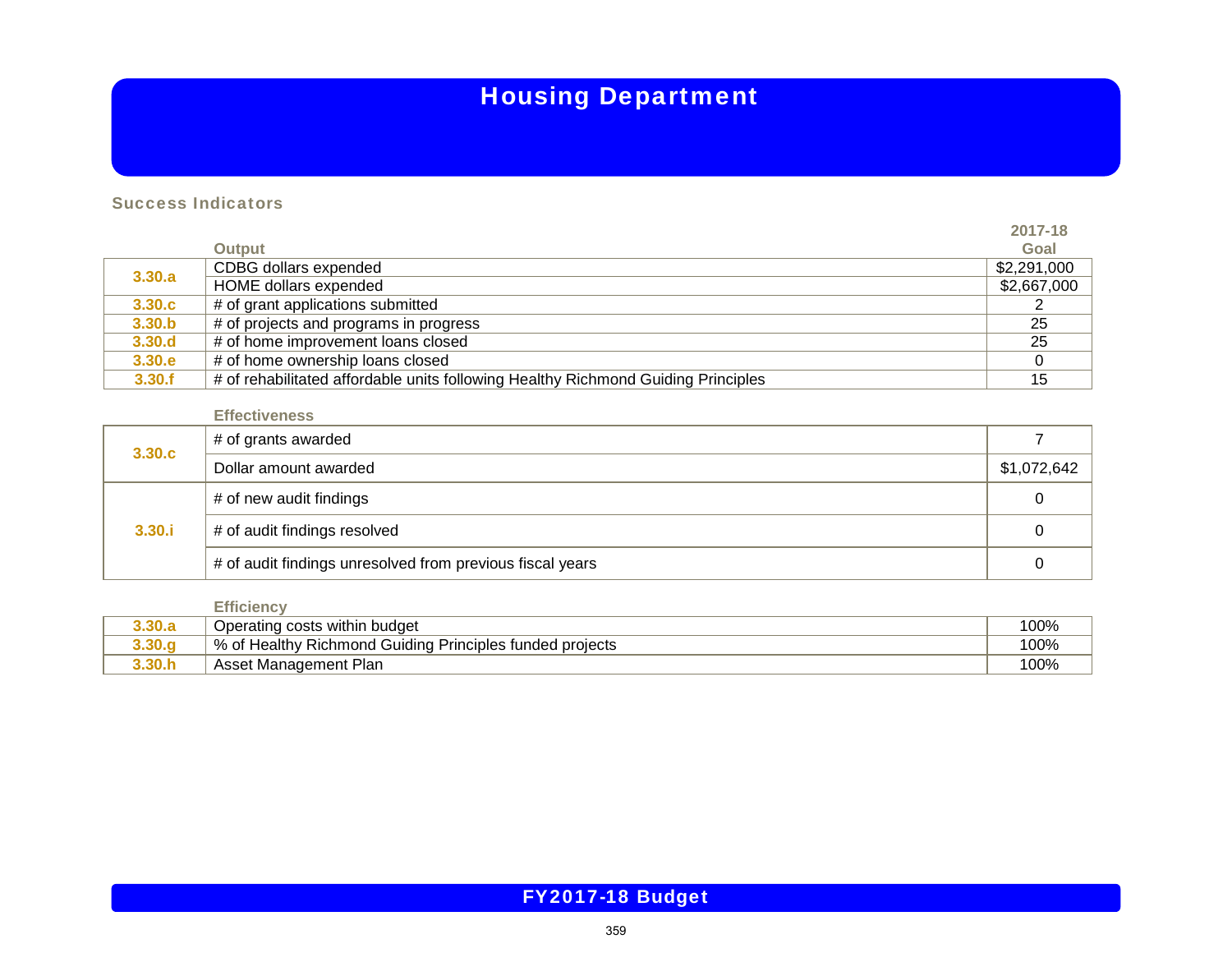# Housing Department

**2017-18**

## Success Indicators

|        |                                                                                   | 2017-18     |
|--------|-----------------------------------------------------------------------------------|-------------|
|        | <b>Output</b>                                                                     | Goal        |
| 3.30.a | CDBG dollars expended                                                             | \$2,291,000 |
|        | HOME dollars expended                                                             | \$2,667,000 |
| 3.30.c | # of grant applications submitted                                                 |             |
| 3.30.b | # of projects and programs in progress                                            | 25          |
| 3.30.d | # of home improvement loans closed                                                | 25          |
| 3.30.e | # of home ownership loans closed                                                  |             |
| 3.30.f | # of rehabilitated affordable units following Healthy Richmond Guiding Principles | 15          |

### **Effectiveness**

| 3.30.c | # of grants awarded                                       |             |
|--------|-----------------------------------------------------------|-------------|
|        | Dollar amount awarded                                     | \$1,072,642 |
| 3,30.1 | # of new audit findings                                   |             |
|        | # of audit findings resolved                              |             |
|        | # of audit findings unresolved from previous fiscal years |             |

|        | Efficienc۱                                               |      |
|--------|----------------------------------------------------------|------|
| 3.30.a | Operating costs within budget                            | 100% |
|        | % of Healthy Richmond Guiding Principles funded projects | 100% |
|        | Asset Management Plan                                    | 100% |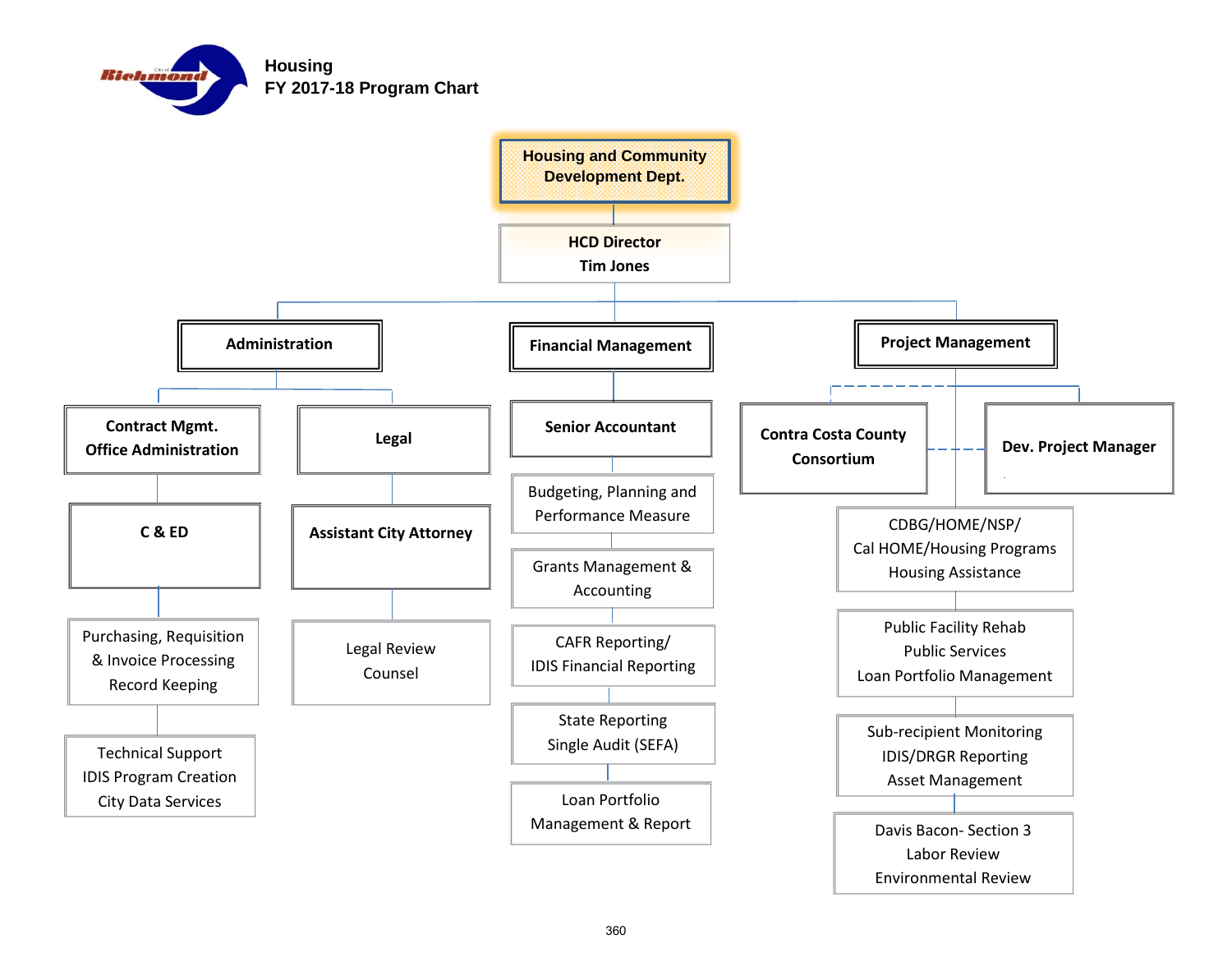

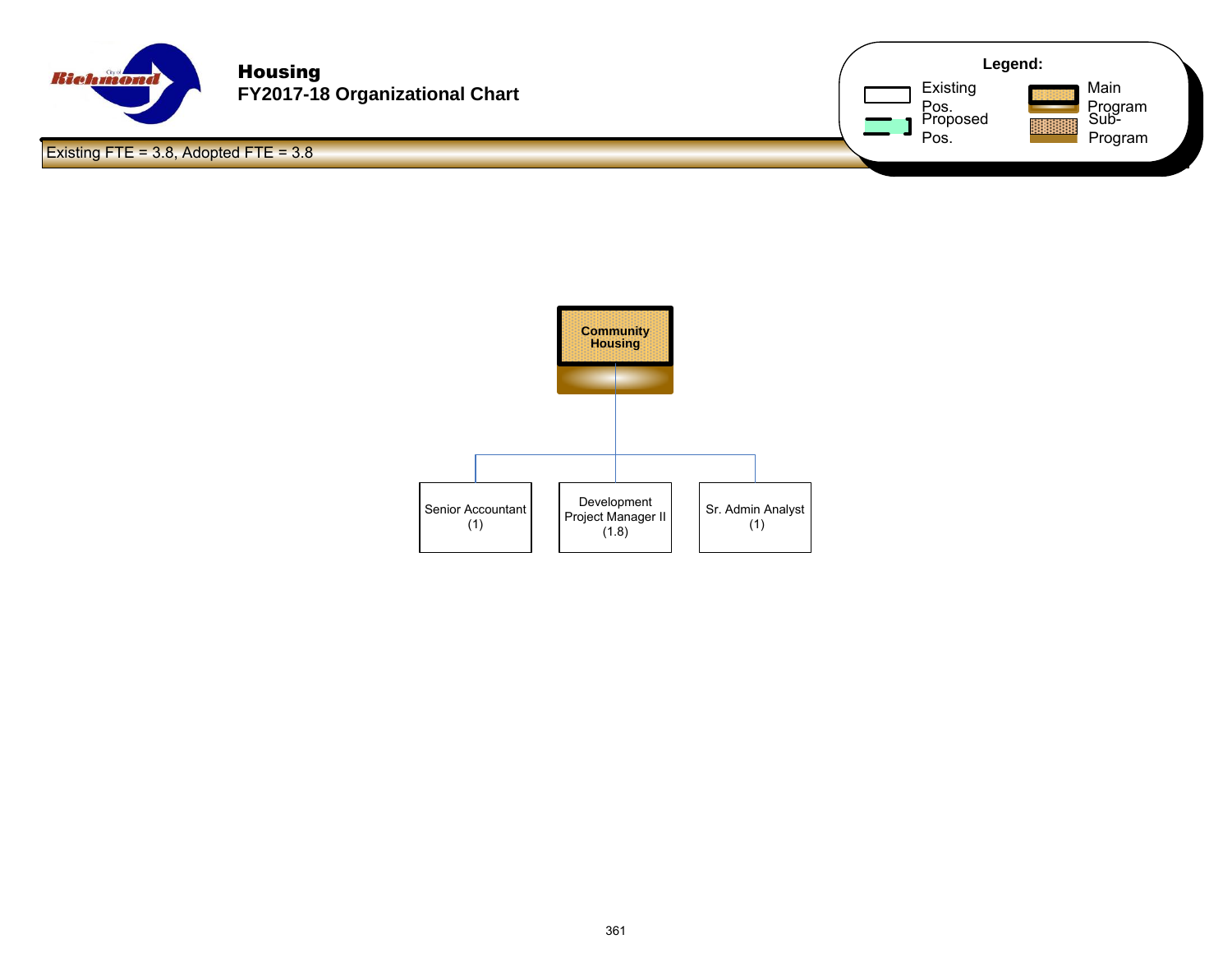

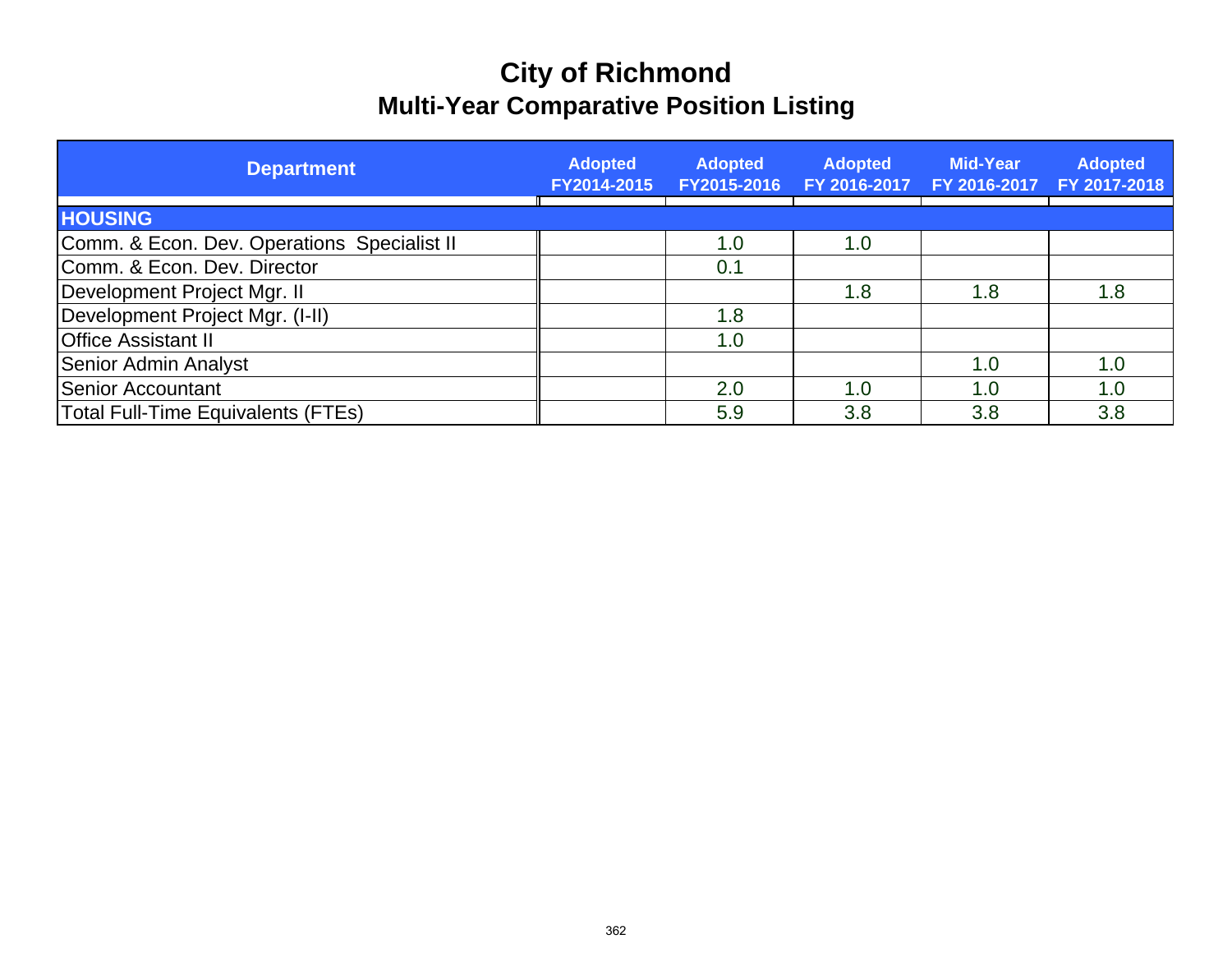# **City of Richmond Multi-Year Comparative Position Listing**

| <b>Department</b>                           | <b>Adopted</b><br>FY2014-2015 | <b>Adopted</b><br>FY2015-2016 | <b>Adopted</b><br>FY 2016-2017 | <b>Mid-Year</b> | <b>Adopted</b><br>FY 2016-2017 FY 2017-2018 |
|---------------------------------------------|-------------------------------|-------------------------------|--------------------------------|-----------------|---------------------------------------------|
| <b>HOUSING</b>                              |                               |                               |                                |                 |                                             |
| Comm. & Econ. Dev. Operations Specialist II |                               | 1.0                           | 1.0                            |                 |                                             |
| Comm. & Econ. Dev. Director                 |                               | 0.1                           |                                |                 |                                             |
| Development Project Mgr. II                 |                               |                               | 1.8                            | 1.8             | 1.8                                         |
| Development Project Mgr. (I-II)             |                               | 1.8                           |                                |                 |                                             |
| <b>Office Assistant II</b>                  |                               | 1.0                           |                                |                 |                                             |
| <b>Senior Admin Analyst</b>                 |                               |                               |                                | 1.0             | 1.0                                         |
| Senior Accountant                           |                               | 2.0                           | 1.0                            | 1.0             | 1.0                                         |
| <b>Total Full-Time Equivalents (FTEs)</b>   |                               | 5.9                           | 3.8                            | 3.8             | 3.8                                         |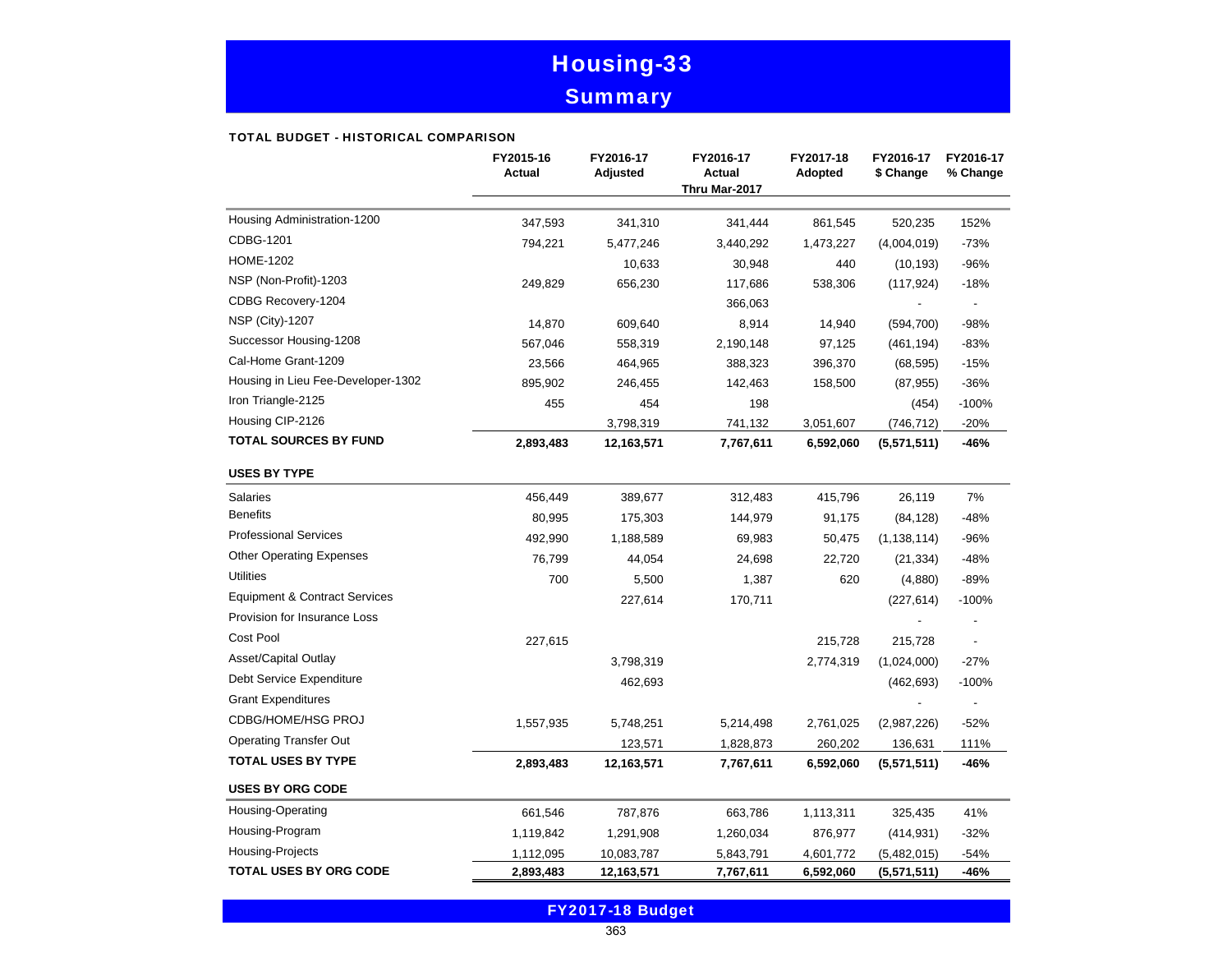# Housing-33 **Summary**

#### TOTAL BUDGET - HISTORICAL COMPARISON

|                                          | FY2015-16<br><b>Actual</b> | FY2016-17<br>Adjusted | FY2016-17<br><b>Actual</b><br>Thru Mar-2017 | FY2017-18<br>Adopted | FY2016-17<br>\$ Change | FY2016-17<br>% Change    |
|------------------------------------------|----------------------------|-----------------------|---------------------------------------------|----------------------|------------------------|--------------------------|
| Housing Administration-1200              | 347,593                    | 341,310               | 341,444                                     | 861,545              | 520,235                | 152%                     |
| CDBG-1201                                | 794,221                    | 5,477,246             | 3,440,292                                   | 1,473,227            | (4,004,019)            | $-73%$                   |
| <b>HOME-1202</b>                         |                            | 10,633                | 30,948                                      | 440                  | (10, 193)              | $-96%$                   |
| NSP (Non-Profit)-1203                    | 249,829                    | 656,230               | 117,686                                     | 538,306              | (117, 924)             | $-18%$                   |
| CDBG Recovery-1204                       |                            |                       | 366,063                                     |                      |                        | $\overline{\phantom{a}}$ |
| <b>NSP (City)-1207</b>                   | 14,870                     | 609,640               | 8,914                                       | 14,940               | (594, 700)             | -98%                     |
| Successor Housing-1208                   | 567,046                    | 558,319               | 2,190,148                                   | 97,125               | (461, 194)             | $-83%$                   |
| Cal-Home Grant-1209                      | 23,566                     | 464,965               | 388,323                                     | 396,370              | (68, 595)              | $-15%$                   |
| Housing in Lieu Fee-Developer-1302       | 895,902                    | 246,455               | 142,463                                     | 158,500              | (87, 955)              | $-36%$                   |
| Iron Triangle-2125                       | 455                        | 454                   | 198                                         |                      | (454)                  | $-100%$                  |
| Housing CIP-2126                         |                            | 3,798,319             | 741,132                                     | 3,051,607            | (746, 712)             | $-20%$                   |
| <b>TOTAL SOURCES BY FUND</b>             | 2,893,483                  | 12,163,571            | 7,767,611                                   | 6,592,060            | (5,571,511)            | -46%                     |
| <b>USES BY TYPE</b>                      |                            |                       |                                             |                      |                        |                          |
| <b>Salaries</b>                          | 456,449                    | 389,677               | 312,483                                     | 415,796              | 26,119                 | 7%                       |
| <b>Benefits</b>                          | 80,995                     | 175,303               | 144,979                                     | 91,175               | (84, 128)              | -48%                     |
| <b>Professional Services</b>             | 492,990                    | 1,188,589             | 69,983                                      | 50,475               | (1, 138, 114)          | $-96%$                   |
| <b>Other Operating Expenses</b>          | 76,799                     | 44,054                | 24,698                                      | 22,720               | (21, 334)              | $-48%$                   |
| <b>Utilities</b>                         | 700                        | 5,500                 | 1,387                                       | 620                  | (4,880)                | $-89%$                   |
| <b>Equipment &amp; Contract Services</b> |                            | 227,614               | 170,711                                     |                      | (227, 614)             | $-100%$                  |
| Provision for Insurance Loss             |                            |                       |                                             |                      |                        |                          |
| Cost Pool                                | 227,615                    |                       |                                             | 215,728              | 215,728                |                          |
| Asset/Capital Outlay                     |                            | 3,798,319             |                                             | 2,774,319            | (1,024,000)            | $-27%$                   |
| Debt Service Expenditure                 |                            | 462,693               |                                             |                      | (462, 693)             | $-100%$                  |
| <b>Grant Expenditures</b>                |                            |                       |                                             |                      |                        |                          |
| <b>CDBG/HOME/HSG PROJ</b>                | 1,557,935                  | 5,748,251             | 5,214,498                                   | 2,761,025            | (2,987,226)            | $-52%$                   |
| <b>Operating Transfer Out</b>            |                            | 123,571               | 1,828,873                                   | 260,202              | 136,631                | 111%                     |
| <b>TOTAL USES BY TYPE</b>                | 2,893,483                  | 12,163,571            | 7,767,611                                   | 6,592,060            | (5,571,511)            | -46%                     |
| <b>USES BY ORG CODE</b>                  |                            |                       |                                             |                      |                        |                          |
| Housing-Operating                        | 661,546                    | 787,876               | 663,786                                     | 1,113,311            | 325,435                | 41%                      |
| Housing-Program                          | 1,119,842                  | 1,291,908             | 1,260,034                                   | 876,977              | (414, 931)             | $-32%$                   |
| Housing-Projects                         | 1,112,095                  | 10,083,787            | 5,843,791                                   | 4,601,772            | (5,482,015)            | $-54%$                   |
| <b>TOTAL USES BY ORG CODE</b>            | 2,893,483                  | 12,163,571            | 7,767,611                                   | 6,592,060            | (5,571,511)            | -46%                     |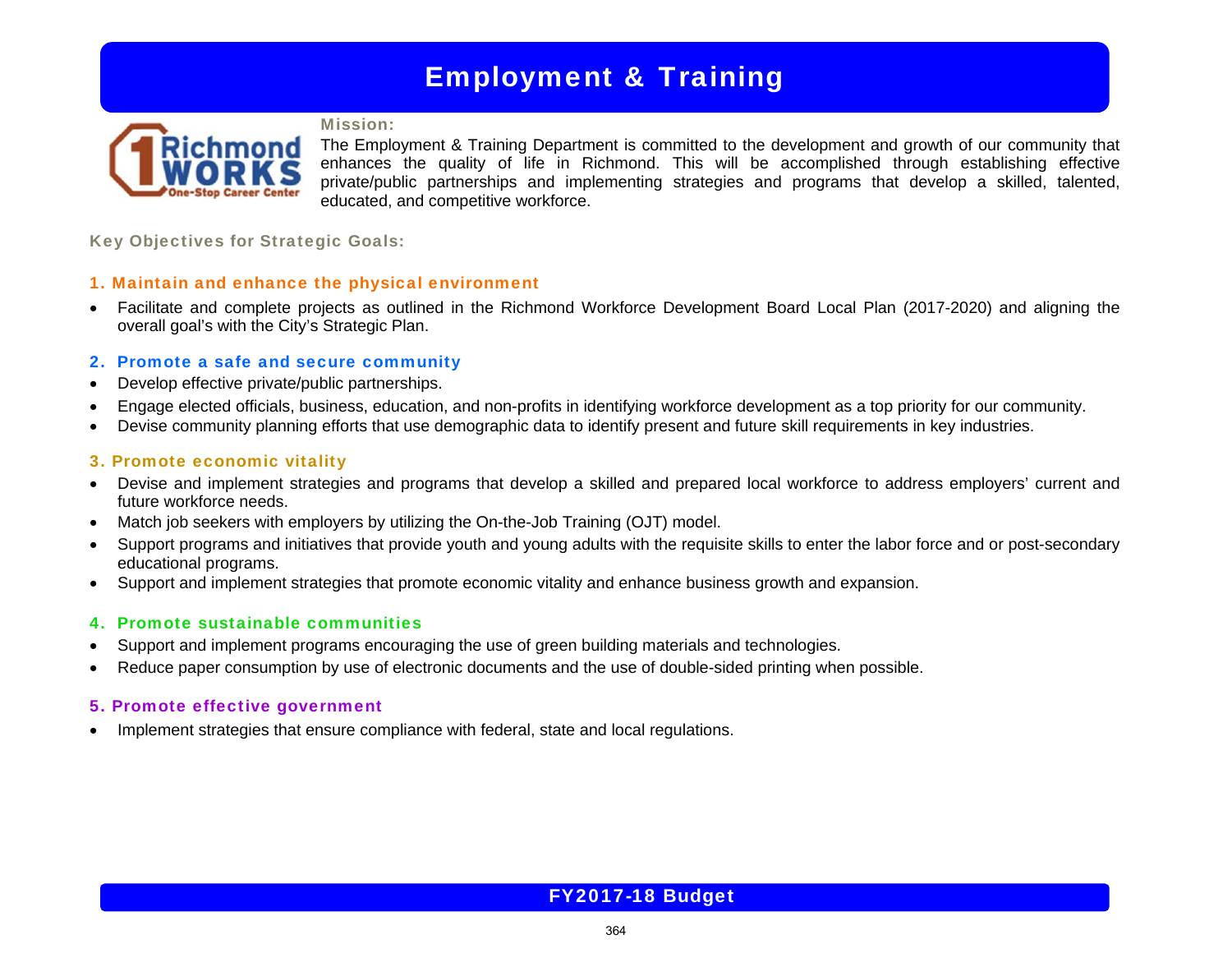# Employment & Training

### Mission:



The Employment & Training Department is committed to the development and growth of our community that enhances the quality of life in Richmond. This will be accomplished through establishing effective private/public partnerships and implementing strategies and programs that develop a skilled, talented, educated, and competitive workforce.

Key Objectives for Strategic Goals:

## 1. Maintain and enhance the physical environment

 Facilitate and complete projects as outlined in the Richmond Workforce Development Board Local Plan (2017-2020) and aligning the overall goal's with the City's Strategic Plan.

## 2. Promote a safe and secure community

- Develop effective private/public partnerships.
- Engage elected officials, business, education, and non-profits in identifying workforce development as a top priority for our community.
- Devise community planning efforts that use demographic data to identify present and future skill requirements in key industries.

## 3. Promote economic vitality

- Devise and implement strategies and programs that develop a skilled and prepared local workforce to address employers' current and future workforce needs.
- Match job seekers with employers by utilizing the On-the-Job Training (OJT) model.
- Support programs and initiatives that provide youth and young adults with the requisite skills to enter the labor force and or post-secondary educational programs.
- Support and implement strategies that promote economic vitality and enhance business growth and expansion.

## 4. Promote sustainable communities

- Support and implement programs encouraging the use of green building materials and technologies.
- Reduce paper consumption by use of electronic documents and the use of double-sided printing when possible.

## 5. Promote effective government

• Implement strategies that ensure compliance with federal, state and local regulations.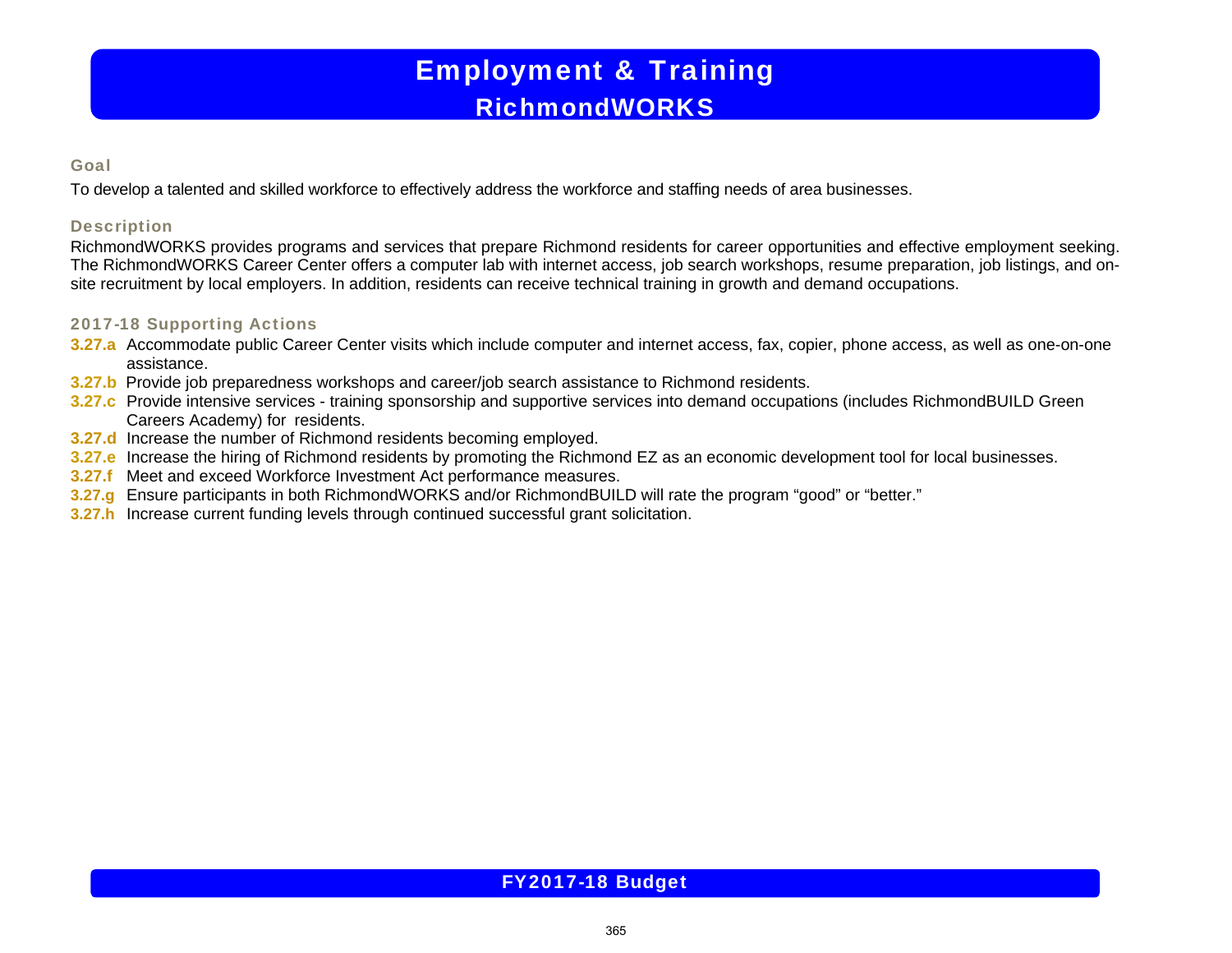# Employment & Training RichmondWORKS

### Goal

To develop a talented and skilled workforce to effectively address the workforce and staffing needs of area businesses.

## **Description**

RichmondWORKS provides programs and services that prepare Richmond residents for career opportunities and effective employment seeking. The RichmondWORKS Career Center offers a computer lab with internet access, job search workshops, resume preparation, job listings, and onsite recruitment by local employers. In addition, residents can receive technical training in growth and demand occupations.

## 2017-18 Supporting Actions

- **3.27.a** Accommodate public Career Center visits which include computer and internet access, fax, copier, phone access, as well as one-on-one assistance.
- **3.27.b** Provide job preparedness workshops and career/job search assistance to Richmond residents.
- **3.27.c** Provide intensive services training sponsorship and supportive services into demand occupations (includes RichmondBUILD Green Careers Academy) for residents.
- **3.27.d** Increase the number of Richmond residents becoming employed.
- **3.27.e** Increase the hiring of Richmond residents by promoting the Richmond EZ as an economic development tool for local businesses.
- **3.27.f** Meet and exceed Workforce Investment Act performance measures.
- **3.27.g** Ensure participants in both RichmondWORKS and/or RichmondBUILD will rate the program "good" or "better."
- **3.27.h** Increase current funding levels through continued successful grant solicitation.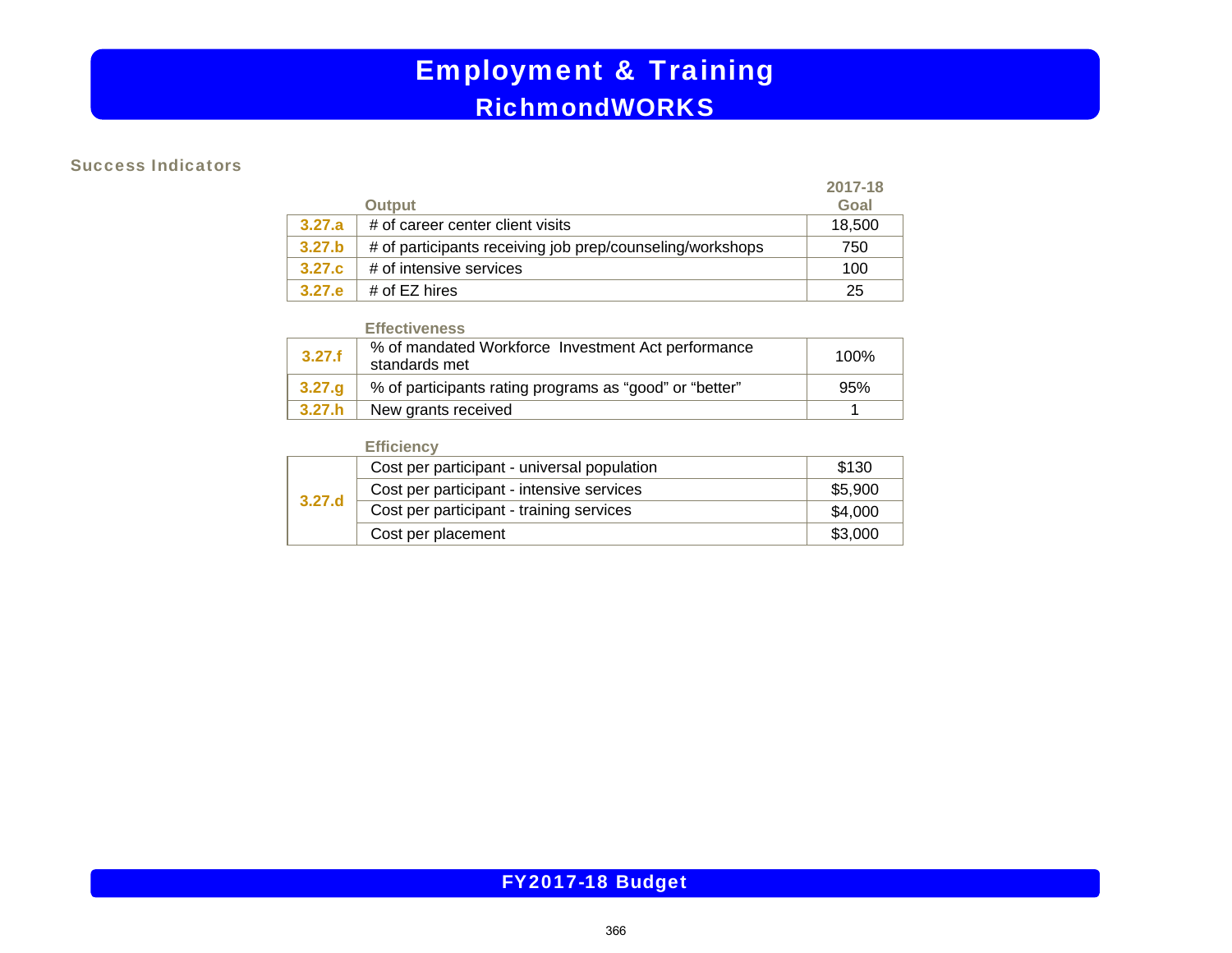# Employment & Training RichmondWORKS

### Success Indicators

|        |                                                           | 2017-18 |
|--------|-----------------------------------------------------------|---------|
|        | <b>Output</b>                                             | Goal    |
| 3.27.a | # of career center client visits                          | 18,500  |
| 3.27.b | # of participants receiving job prep/counseling/workshops | 750     |
| 3.27.c | # of intensive services                                   | 100     |
| 3.27.e | # of $EZ$ hires                                           | 25      |

#### **Effectiveness**

| 3.27.f | % of mandated Workforce Investment Act performance<br>standards met | 100% |
|--------|---------------------------------------------------------------------|------|
| 3.27.g | % of participants rating programs as "good" or "better"             | 95%  |
| 3.27.h | New grants received                                                 |      |

## **Efficiency**

| 3.27.d | Cost per participant - universal population | \$130   |
|--------|---------------------------------------------|---------|
|        | Cost per participant - intensive services   | \$5,900 |
|        | Cost per participant - training services    | \$4,000 |
|        | Cost per placement                          | \$3,000 |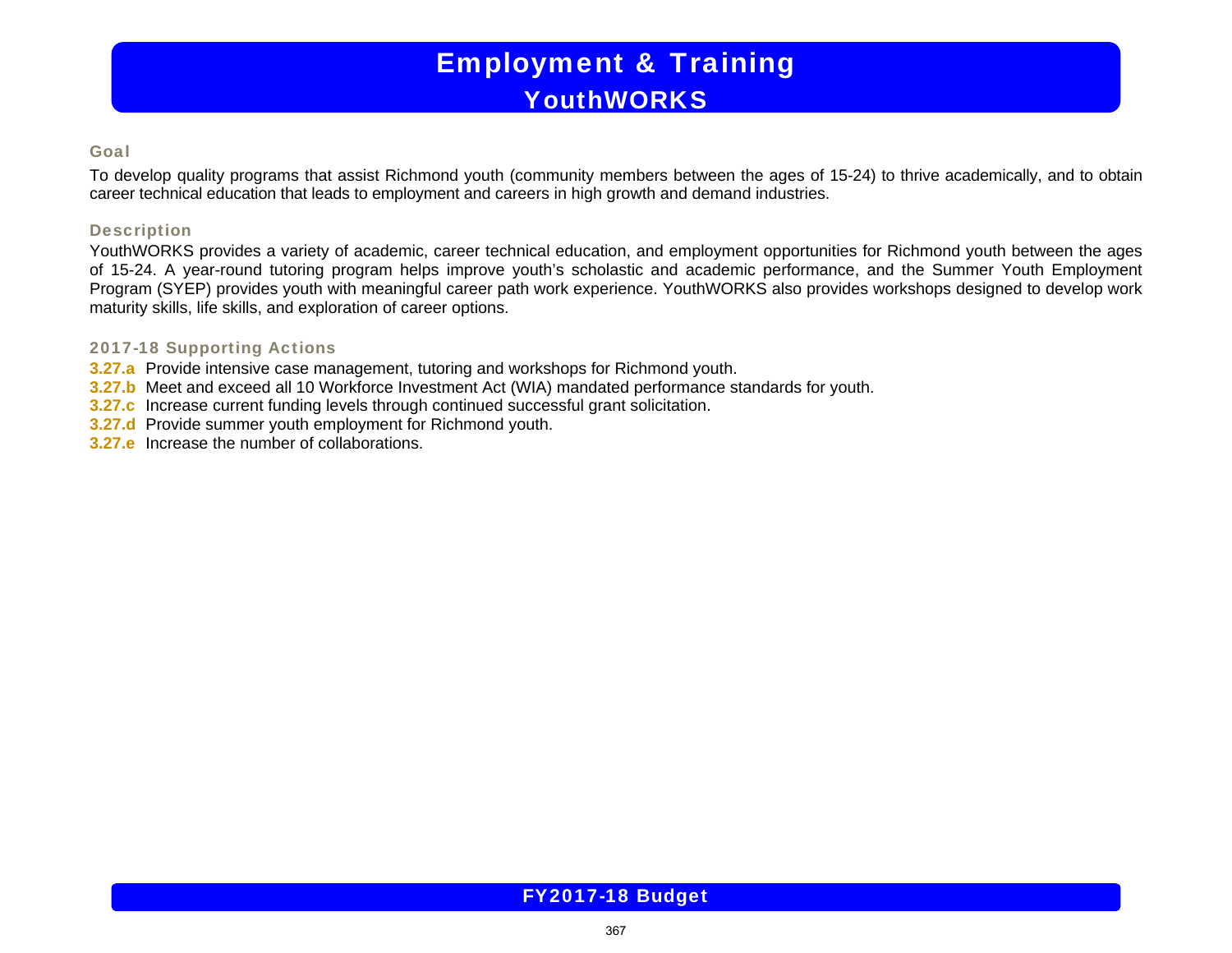# Employment & Training **YouthWORKS**

### Goal

To develop quality programs that assist Richmond youth (community members between the ages of 15-24) to thrive academically, and to obtain career technical education that leads to employment and careers in high growth and demand industries.

### Description

YouthWORKS provides a variety of academic, career technical education, and employment opportunities for Richmond youth between the ages of 15-24. A year-round tutoring program helps improve youth's scholastic and academic performance, and the Summer Youth Employment Program (SYEP) provides youth with meaningful career path work experience. YouthWORKS also provides workshops designed to develop work maturity skills, life skills, and exploration of career options.

## 2017-18 Supporting Actions

- **3.27.a** Provide intensive case management, tutoring and workshops for Richmond youth.
- **3.27.b** Meet and exceed all 10 Workforce Investment Act (WIA) mandated performance standards for youth.
- **3.27.c** Increase current funding levels through continued successful grant solicitation.
- **3.27.d** Provide summer youth employment for Richmond youth.
- **3.27.e** Increase the number of collaborations.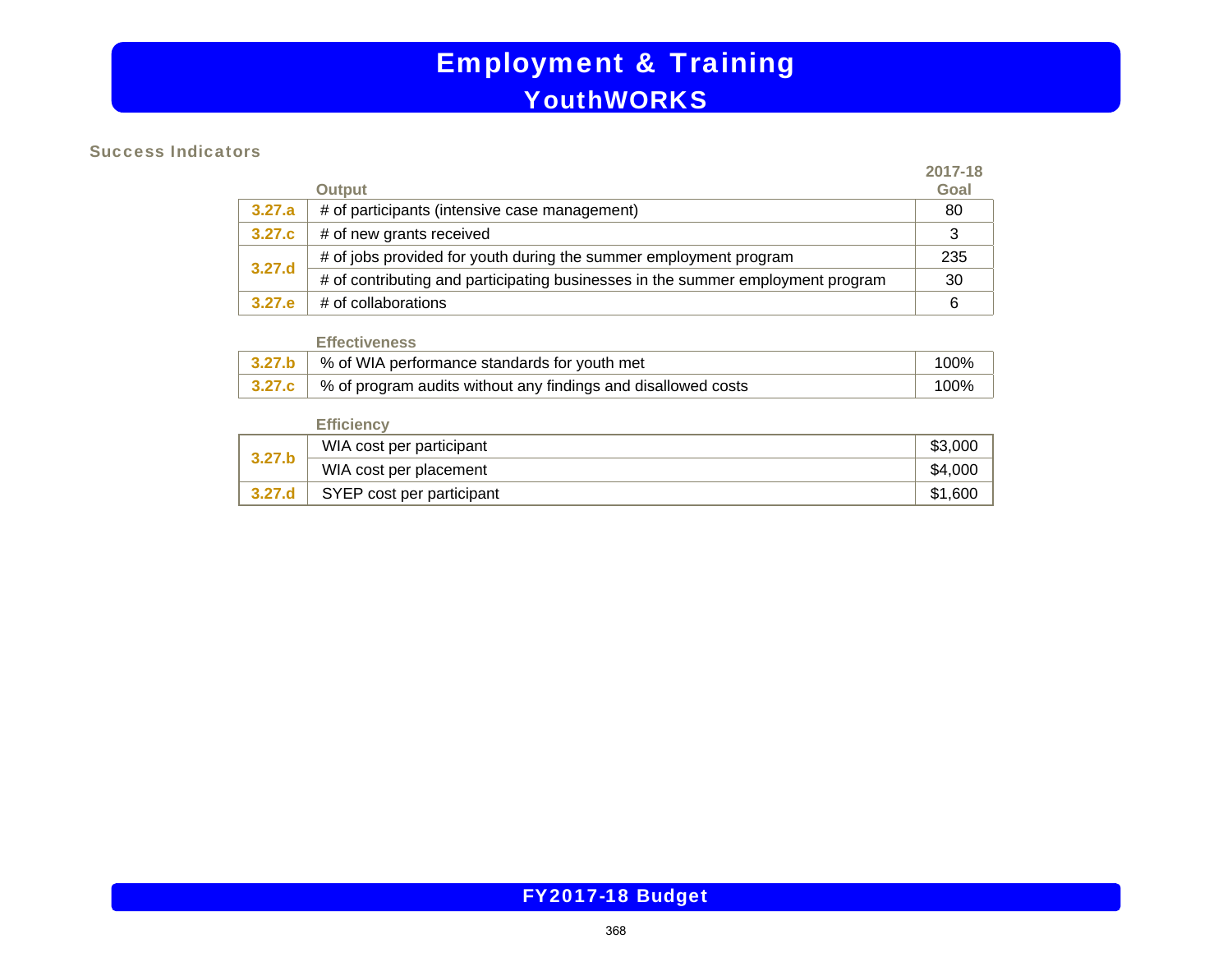# Employment & Training YouthWORKS

### Success Indicators

|        |                                                                                 | 2017-18 |
|--------|---------------------------------------------------------------------------------|---------|
|        | <b>Output</b>                                                                   | Goal    |
| 3.27.a | # of participants (intensive case management)                                   | 80      |
| 3.27.c | # of new grants received                                                        |         |
| 3.27.d | # of jobs provided for youth during the summer employment program               | 235     |
|        | # of contributing and participating businesses in the summer employment program | 30      |
| 3.27.e | # of collaborations                                                             | -6      |

#### **Effectiveness**

| 3.27.b \ % of WIA performance standards for youth met                         | $100\%$ |
|-------------------------------------------------------------------------------|---------|
| <b>3.27.c</b>   % of program audits without any findings and disallowed costs | 100%    |

## **Efficiency**

| 3.27.b | WIA cost per participant  | \$3,000 |
|--------|---------------------------|---------|
|        | WIA cost per placement    | \$4,000 |
|        | SYEP cost per participant | \$1,600 |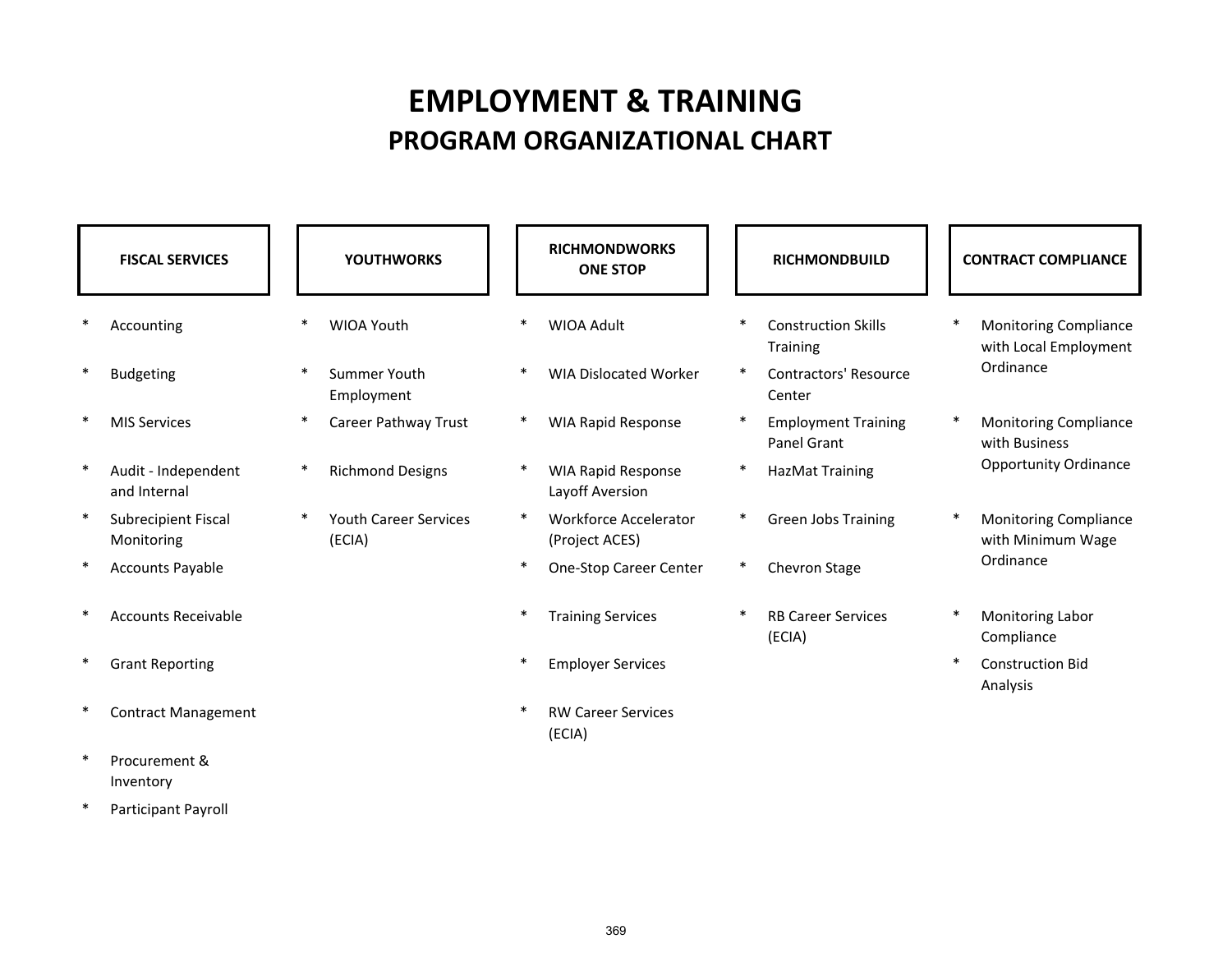# **EMPLOYMENT & TRAINING PROGRAM ORGANIZATIONAL CHART**

| <b>FISCAL SERVICES</b>              |   | <b>YOUTHWORKS</b>                      |        | <b>RICHMONDWORKS</b><br><b>ONE STOP</b>      | <b>RICHMONDBUILD</b> |                                               |        | <b>CONTRACT COMPLIANCE</b>                            |
|-------------------------------------|---|----------------------------------------|--------|----------------------------------------------|----------------------|-----------------------------------------------|--------|-------------------------------------------------------|
| Accounting                          |   | <b>WIOA Youth</b>                      | $\ast$ | <b>WIOA Adult</b>                            |                      | <b>Construction Skills</b><br><b>Training</b> |        | <b>Monitoring Compliance</b><br>with Local Employment |
| <b>Budgeting</b>                    |   | Summer Youth<br>Employment             | $\ast$ | <b>WIA Dislocated Worker</b>                 | $\ast$               | <b>Contractors' Resource</b><br>Center        |        | Ordinance                                             |
| <b>MIS Services</b>                 |   | Career Pathway Trust                   | $\ast$ | <b>WIA Rapid Response</b>                    |                      | <b>Employment Training</b><br>Panel Grant     |        | <b>Monitoring Compliance</b><br>with Business         |
| Audit - Independent<br>and Internal | * | <b>Richmond Designs</b>                |        | <b>WIA Rapid Response</b><br>Layoff Aversion |                      | <b>HazMat Training</b>                        |        | <b>Opportunity Ordinance</b>                          |
| Subrecipient Fiscal<br>Monitoring   |   | <b>Youth Career Services</b><br>(ECIA) | $\ast$ | Workforce Accelerator<br>(Project ACES)      | $\ast$               | <b>Green Jobs Training</b>                    |        | <b>Monitoring Compliance</b><br>with Minimum Wage     |
| <b>Accounts Payable</b>             |   |                                        | $\ast$ | One-Stop Career Center                       |                      | Chevron Stage                                 |        | Ordinance                                             |
| <b>Accounts Receivable</b>          |   |                                        | $\ast$ | <b>Training Services</b>                     |                      | <b>RB Career Services</b><br>(ECIA)           | ∗      | Monitoring Labor<br>Compliance                        |
| <b>Grant Reporting</b>              |   |                                        | $\ast$ | <b>Employer Services</b>                     |                      |                                               | $\ast$ | <b>Construction Bid</b><br>Analysis                   |
| <b>Contract Management</b>          |   |                                        | $\ast$ | <b>RW Career Services</b><br>(ECIA)          |                      |                                               |        |                                                       |
| Procurement &                       |   |                                        |        |                                              |                      |                                               |        |                                                       |

\*Participant Payroll

Inventory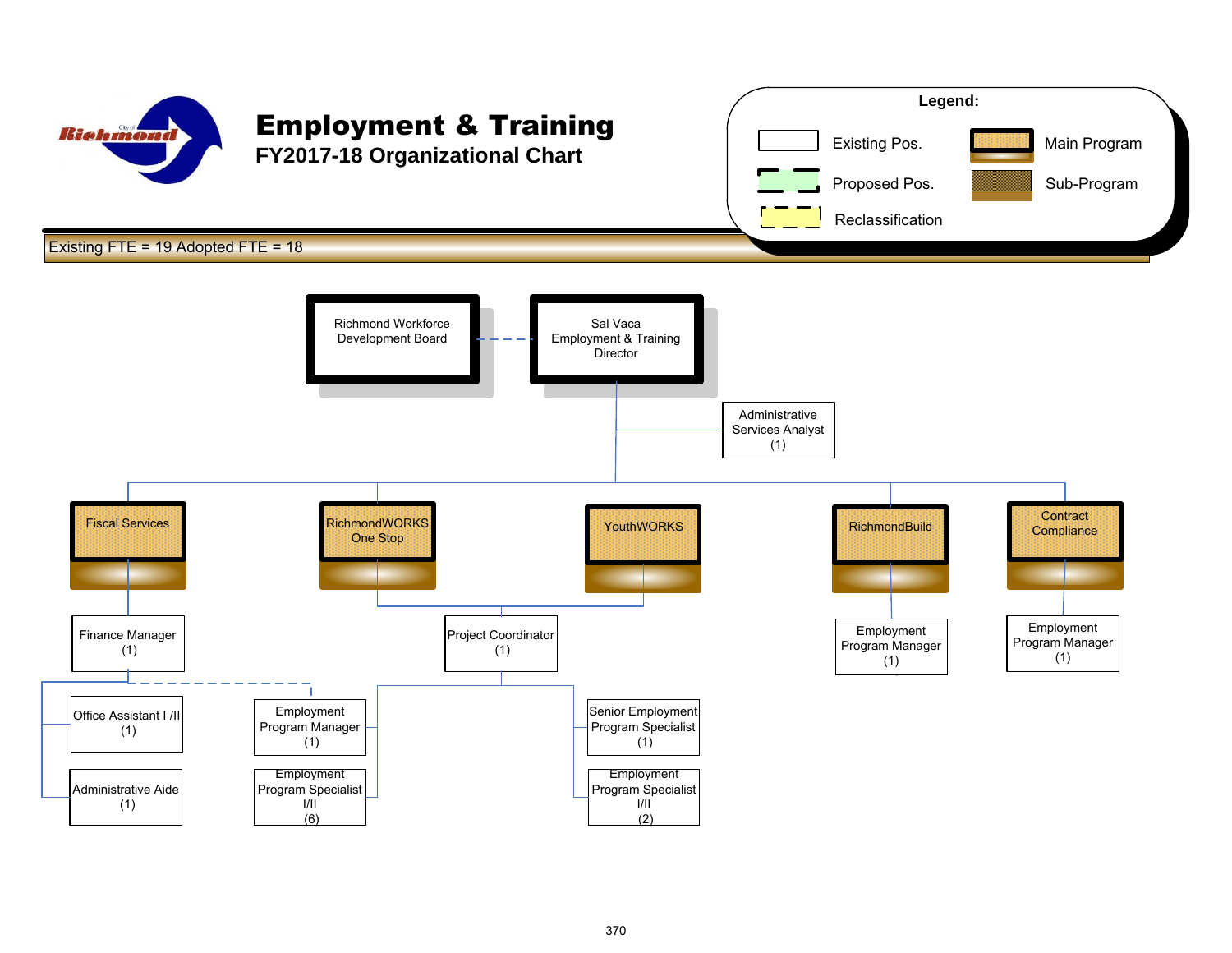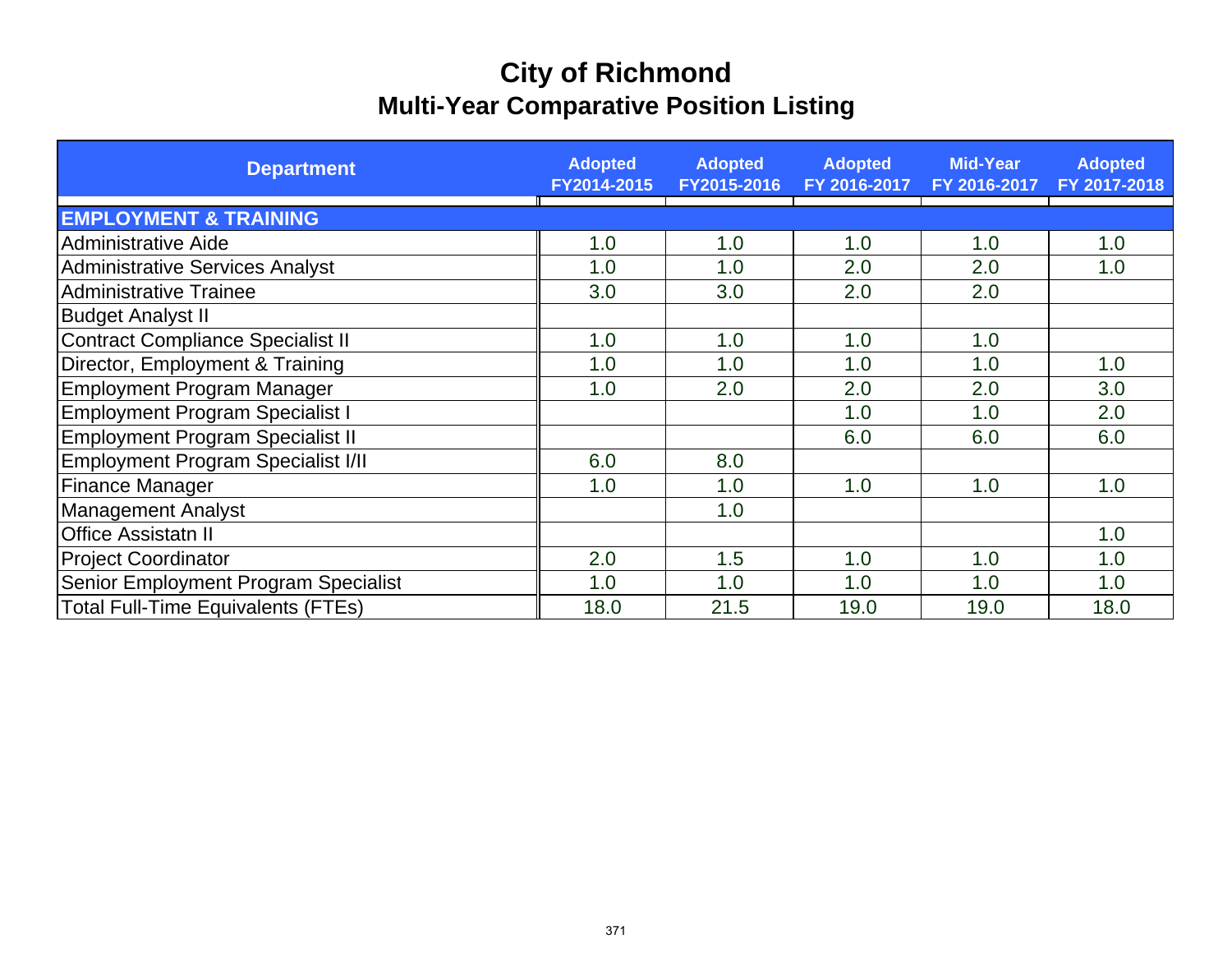# **City of Richmond Multi-Year Comparative Position Listing**

| <b>Department</b>                         | <b>Adopted</b><br>FY2014-2015 | <b>Adopted</b><br>FY2015-2016 | <b>Adopted</b><br>FY 2016-2017 | <b>Mid-Year</b><br>FY 2016-2017 | <b>Adopted</b><br>FY 2017-2018 |
|-------------------------------------------|-------------------------------|-------------------------------|--------------------------------|---------------------------------|--------------------------------|
| <b>EMPLOYMENT &amp; TRAINING</b>          |                               |                               |                                |                                 |                                |
| <b>Administrative Aide</b>                | 1.0                           | 1.0                           | 1.0                            | 1.0                             | 1.0                            |
| <b>Administrative Services Analyst</b>    | 1.0                           | 1.0                           | 2.0                            | 2.0                             | 1.0                            |
| <b>Administrative Trainee</b>             | 3.0                           | 3.0                           | 2.0                            | 2.0                             |                                |
| <b>Budget Analyst II</b>                  |                               |                               |                                |                                 |                                |
| <b>Contract Compliance Specialist II</b>  | 1.0                           | 1.0                           | 1.0                            | 1.0                             |                                |
| Director, Employment & Training           | 1.0                           | 1.0                           | 1.0                            | 1.0                             | 1.0                            |
| <b>Employment Program Manager</b>         | 1.0                           | 2.0                           | 2.0                            | 2.0                             | 3.0                            |
| <b>Employment Program Specialist I</b>    |                               |                               | 1.0                            | 1.0                             | 2.0                            |
| Employment Program Specialist II          |                               |                               | 6.0                            | 6.0                             | 6.0                            |
| Employment Program Specialist I/II        | 6.0                           | 8.0                           |                                |                                 |                                |
| <b>Finance Manager</b>                    | 1.0                           | 1.0                           | 1.0                            | 1.0                             | 1.0                            |
| <b>Management Analyst</b>                 |                               | 1.0                           |                                |                                 |                                |
| <b>Office Assistatn II</b>                |                               |                               |                                |                                 | 1.0                            |
| <b>Project Coordinator</b>                | 2.0                           | 1.5                           | 1.0                            | 1.0                             | 1.0                            |
| Senior Employment Program Specialist      | 1.0                           | 1.0                           | 1.0                            | 1.0                             | 1.0                            |
| <b>Total Full-Time Equivalents (FTEs)</b> | 18.0                          | 21.5                          | 19.0                           | 19.0                            | 18.0                           |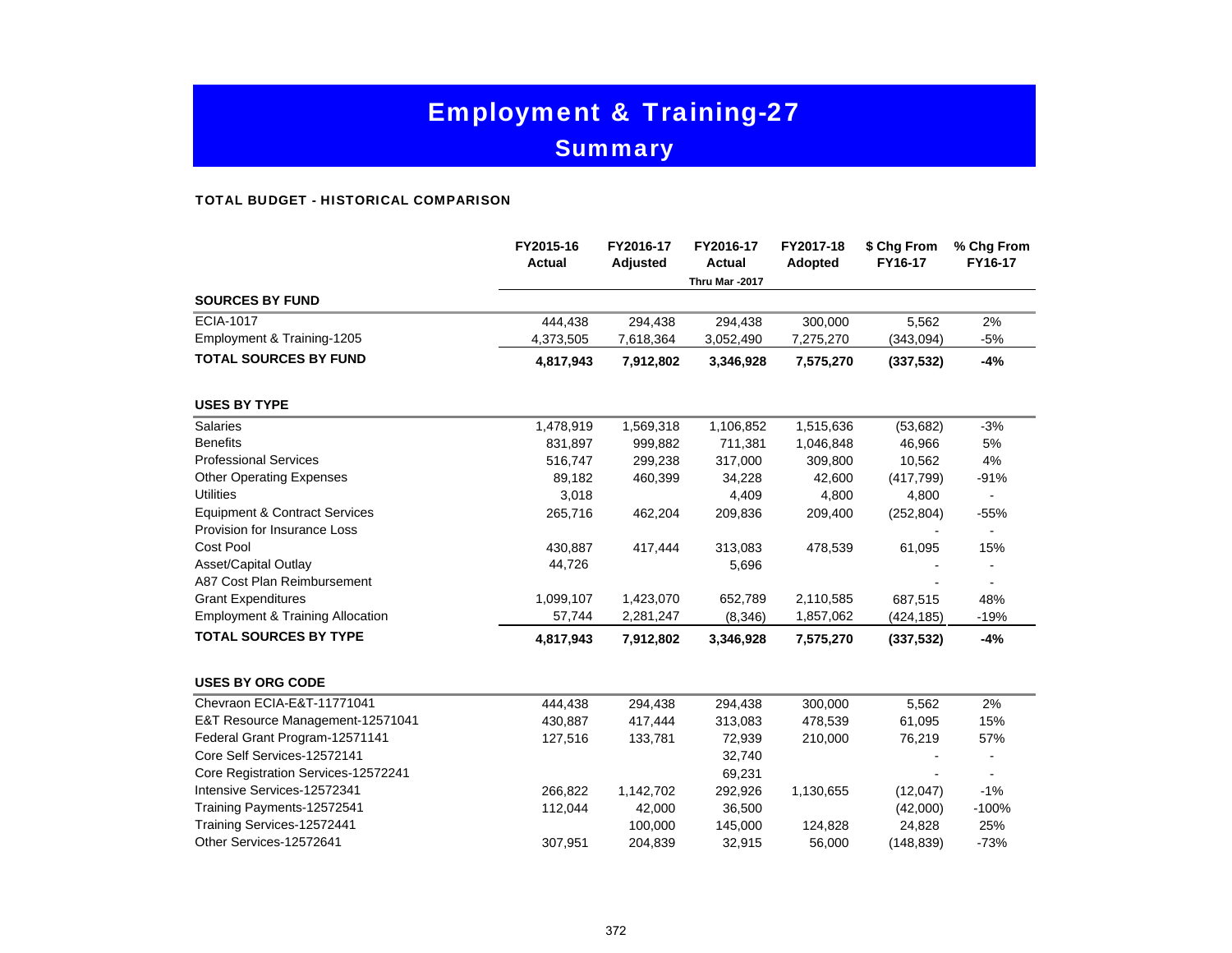# Employment & Training-27 **Summary**

#### TOTAL BUDGET - HISTORICAL COMPARISON

|                                             | FY2015-16<br><b>Actual</b> | FY2016-17<br>Adjusted | FY2016-17<br><b>Actual</b> | FY2017-18<br>Adopted | \$ Chg From<br>FY16-17 | % Chg From<br>FY16-17 |
|---------------------------------------------|----------------------------|-----------------------|----------------------------|----------------------|------------------------|-----------------------|
| <b>SOURCES BY FUND</b>                      |                            |                       | Thru Mar -2017             |                      |                        |                       |
|                                             |                            |                       |                            |                      |                        |                       |
| <b>ECIA-1017</b>                            | 444,438                    | 294,438               | 294,438                    | 300,000              | 5,562                  | 2%                    |
| Employment & Training-1205                  | 4,373,505                  | 7,618,364             | 3,052,490                  | 7,275,270            | (343,094)              | $-5%$                 |
| <b>TOTAL SOURCES BY FUND</b>                | 4,817,943                  | 7,912,802             | 3,346,928                  | 7,575,270            | (337, 532)             | -4%                   |
| <b>USES BY TYPE</b>                         |                            |                       |                            |                      |                        |                       |
| <b>Salaries</b>                             | 1,478,919                  | 1,569,318             | 1,106,852                  | 1,515,636            | (53, 682)              | $-3%$                 |
| <b>Benefits</b>                             | 831,897                    | 999,882               | 711,381                    | 1,046,848            | 46,966                 | 5%                    |
| <b>Professional Services</b>                | 516,747                    | 299,238               | 317,000                    | 309,800              | 10,562                 | 4%                    |
| <b>Other Operating Expenses</b>             | 89,182                     | 460,399               | 34,228                     | 42,600               | (417, 799)             | $-91%$                |
| <b>Utilities</b>                            | 3,018                      |                       | 4,409                      | 4,800                | 4,800                  |                       |
| <b>Equipment &amp; Contract Services</b>    | 265,716                    | 462,204               | 209,836                    | 209,400              | (252, 804)             | $-55%$                |
| Provision for Insurance Loss                |                            |                       |                            |                      |                        | $\blacksquare$        |
| Cost Pool                                   | 430,887                    | 417,444               | 313,083                    | 478,539              | 61,095                 | 15%                   |
| Asset/Capital Outlay                        | 44,726                     |                       | 5,696                      |                      |                        |                       |
| A87 Cost Plan Reimbursement                 |                            |                       |                            |                      |                        |                       |
| <b>Grant Expenditures</b>                   | 1,099,107                  | 1,423,070             | 652,789                    | 2,110,585            | 687,515                | 48%                   |
| <b>Employment &amp; Training Allocation</b> | 57,744                     | 2,281,247             | (8,346)                    | 1,857,062            | (424, 185)             | $-19%$                |
| <b>TOTAL SOURCES BY TYPE</b>                | 4,817,943                  | 7,912,802             | 3,346,928                  | 7,575,270            | (337,532)              | $-4%$                 |
| <b>USES BY ORG CODE</b>                     |                            |                       |                            |                      |                        |                       |
| Chevraon ECIA-E&T-11771041                  | 444,438                    | 294,438               | 294,438                    | 300,000              | 5,562                  | 2%                    |
| E&T Resource Management-12571041            | 430,887                    | 417,444               | 313,083                    | 478,539              | 61,095                 | 15%                   |
| Federal Grant Program-12571141              | 127,516                    | 133,781               | 72,939                     | 210,000              | 76,219                 | 57%                   |
| Core Self Services-12572141                 |                            |                       | 32,740                     |                      |                        |                       |
| Core Registration Services-12572241         |                            |                       | 69,231                     |                      |                        |                       |
| Intensive Services-12572341                 | 266,822                    | 1,142,702             | 292,926                    | 1,130,655            | (12,047)               | $-1%$                 |
| Training Payments-12572541                  | 112,044                    | 42,000                | 36,500                     |                      | (42,000)               | $-100%$               |
| Training Services-12572441                  |                            | 100,000               | 145,000                    | 124,828              | 24,828                 | 25%                   |
| Other Services-12572641                     | 307,951                    | 204,839               | 32,915                     | 56,000               | (148, 839)             | $-73%$                |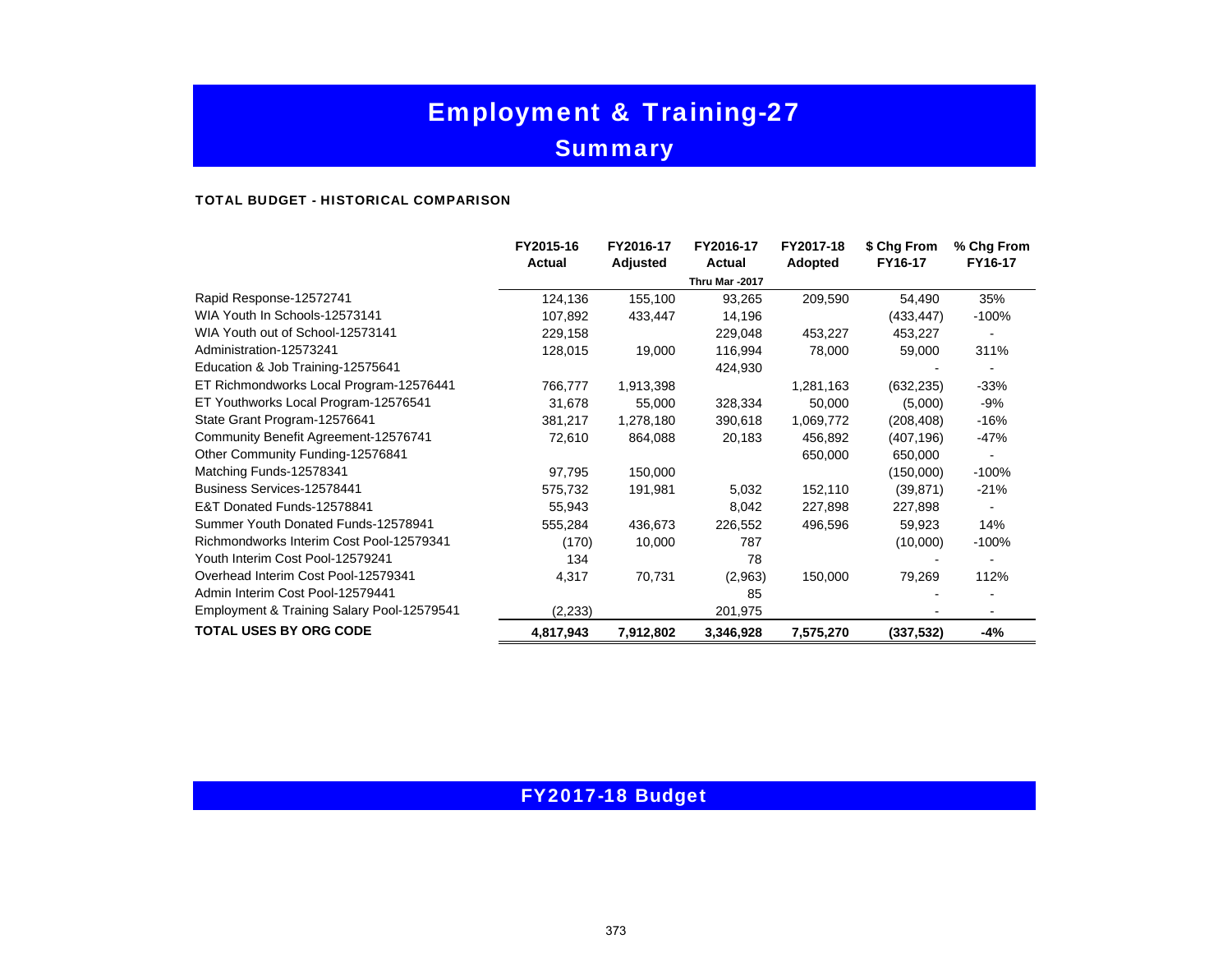# Employment & Training-27 **Summary**

#### TOTAL BUDGET - HISTORICAL COMPARISON

|                                            | FY2015-16<br><b>Actual</b> | FY2016-17<br>Adjusted | FY2016-17<br>Actual | FY2017-18<br>Adopted | \$ Chg From<br>FY16-17 | % Chg From<br>FY16-17 |
|--------------------------------------------|----------------------------|-----------------------|---------------------|----------------------|------------------------|-----------------------|
|                                            |                            |                       | Thru Mar -2017      |                      |                        |                       |
| Rapid Response-12572741                    | 124,136                    | 155,100               | 93,265              | 209,590              | 54,490                 | 35%                   |
| WIA Youth In Schools-12573141              | 107,892                    | 433,447               | 14,196              |                      | (433, 447)             | $-100%$               |
| WIA Youth out of School-12573141           | 229,158                    |                       | 229,048             | 453,227              | 453,227                |                       |
| Administration-12573241                    | 128,015                    | 19,000                | 116,994             | 78,000               | 59,000                 | 311%                  |
| Education & Job Training-12575641          |                            |                       | 424,930             |                      |                        |                       |
| ET Richmondworks Local Program-12576441    | 766,777                    | 1,913,398             |                     | 1,281,163            | (632, 235)             | $-33%$                |
| ET Youthworks Local Program-12576541       | 31,678                     | 55,000                | 328,334             | 50,000               | (5,000)                | -9%                   |
| State Grant Program-12576641               | 381,217                    | 1,278,180             | 390,618             | 1,069,772            | (208, 408)             | -16%                  |
| Community Benefit Agreement-12576741       | 72,610                     | 864,088               | 20,183              | 456,892              | (407, 196)             | -47%                  |
| Other Community Funding-12576841           |                            |                       |                     | 650,000              | 650,000                |                       |
| Matching Funds-12578341                    | 97,795                     | 150,000               |                     |                      | (150,000)              | $-100%$               |
| Business Services-12578441                 | 575,732                    | 191,981               | 5,032               | 152,110              | (39, 871)              | $-21%$                |
| E&T Donated Funds-12578841                 | 55,943                     |                       | 8,042               | 227,898              | 227,898                |                       |
| Summer Youth Donated Funds-12578941        | 555,284                    | 436,673               | 226,552             | 496,596              | 59,923                 | 14%                   |
| Richmondworks Interim Cost Pool-12579341   | (170)                      | 10,000                | 787                 |                      | (10,000)               | $-100%$               |
| Youth Interim Cost Pool-12579241           | 134                        |                       | 78                  |                      |                        |                       |
| Overhead Interim Cost Pool-12579341        | 4,317                      | 70,731                | (2,963)             | 150,000              | 79,269                 | 112%                  |
| Admin Interim Cost Pool-12579441           |                            |                       | 85                  |                      |                        |                       |
| Employment & Training Salary Pool-12579541 | (2,233)                    |                       | 201,975             |                      |                        |                       |
| <b>TOTAL USES BY ORG CODE</b>              | 4,817,943                  | 7,912,802             | 3,346,928           | 7,575,270            | (337, 532)             | -4%                   |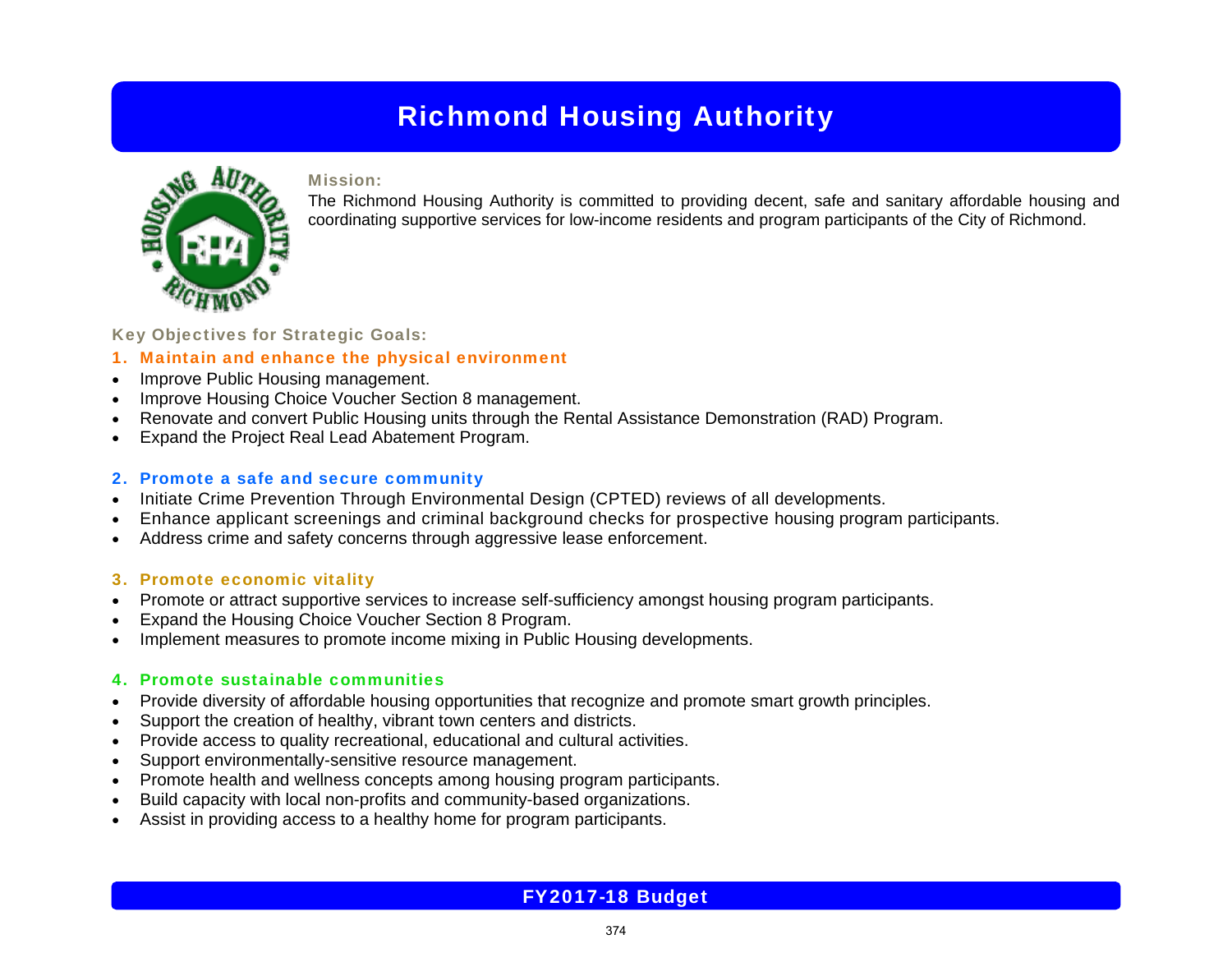

### Mission:

The Richmond Housing Authority is committed to providing decent, safe and sanitary affordable housing and coordinating supportive services for low-income residents and program participants of the City of Richmond.

## Key Objectives for Strategic Goals:

## 1. Maintain and enhance the physical environment

- c Improve Public Housing management.
- c Improve Housing Choice Voucher Section 8 management.
- e Renovate and convert Public Housing units through the Rental Assistance Demonstration (RAD) Program.
- c Expand the Project Real Lead Abatement Program.

### 2. Promote a safe and secure community

- Initiate Crime Prevention Through Environmental Design (CPTED) reviews of all developments.
- c Enhance applicant screenings and criminal background checks for prospective housing program participants.
- c Address crime and safety concerns through aggressive lease enforcement.

## 3. Promote economic vitality

- e Promote or attract supportive services to increase self-sufficiency amongst housing program participants.
- c Expand the Housing Choice Voucher Section 8 Program.
- c Implement measures to promote income mixing in Public Housing developments.

## 4. Promote sustainable communities

- c Provide diversity of affordable housing opportunities that recognize and promote smart growth principles.
- c Support the creation of healthy, vibrant town centers and districts.
- c Provide access to quality recreational, educational and cultural activities.
- e Support environmentally-sensitive resource management.
- c Promote health and wellness concepts among housing program participants.
- c Build capacity with local non-profits and community-based organizations.
- c Assist in providing access to a healthy home for program participants.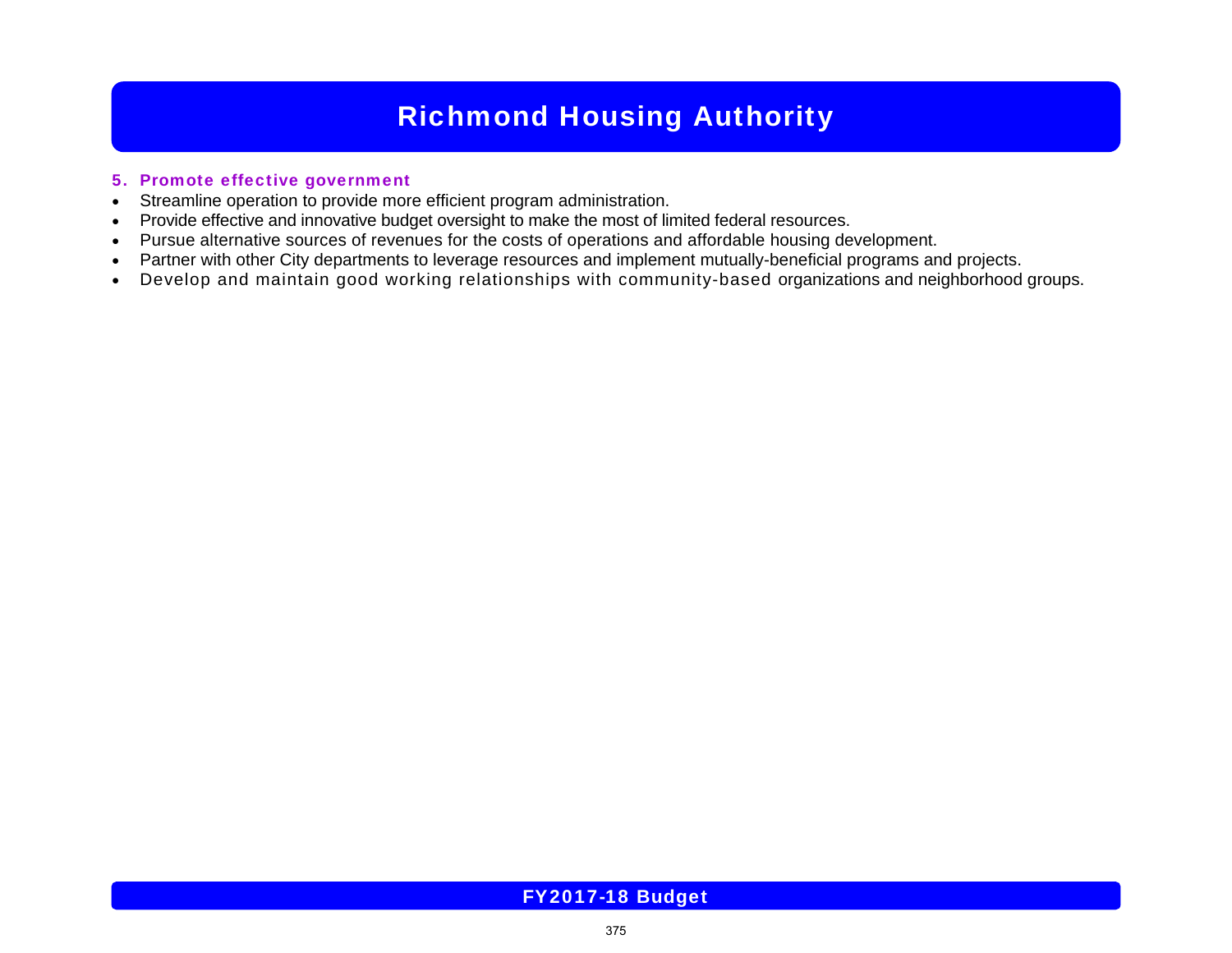### 5. Promote effective government

- $\bullet$ Streamline operation to provide more efficient program administration.
- $\bullet$ Provide effective and innovative budget oversight to make the most of limited federal resources.
- c Pursue alternative sources of revenues for the costs of operations and affordable housing development.
- $\bullet$ Partner with other City departments to leverage resources and implement mutually-beneficial programs and projects.
- $\bullet$ Develop and maintain good working relationships with community-based organizations and neighborhood groups.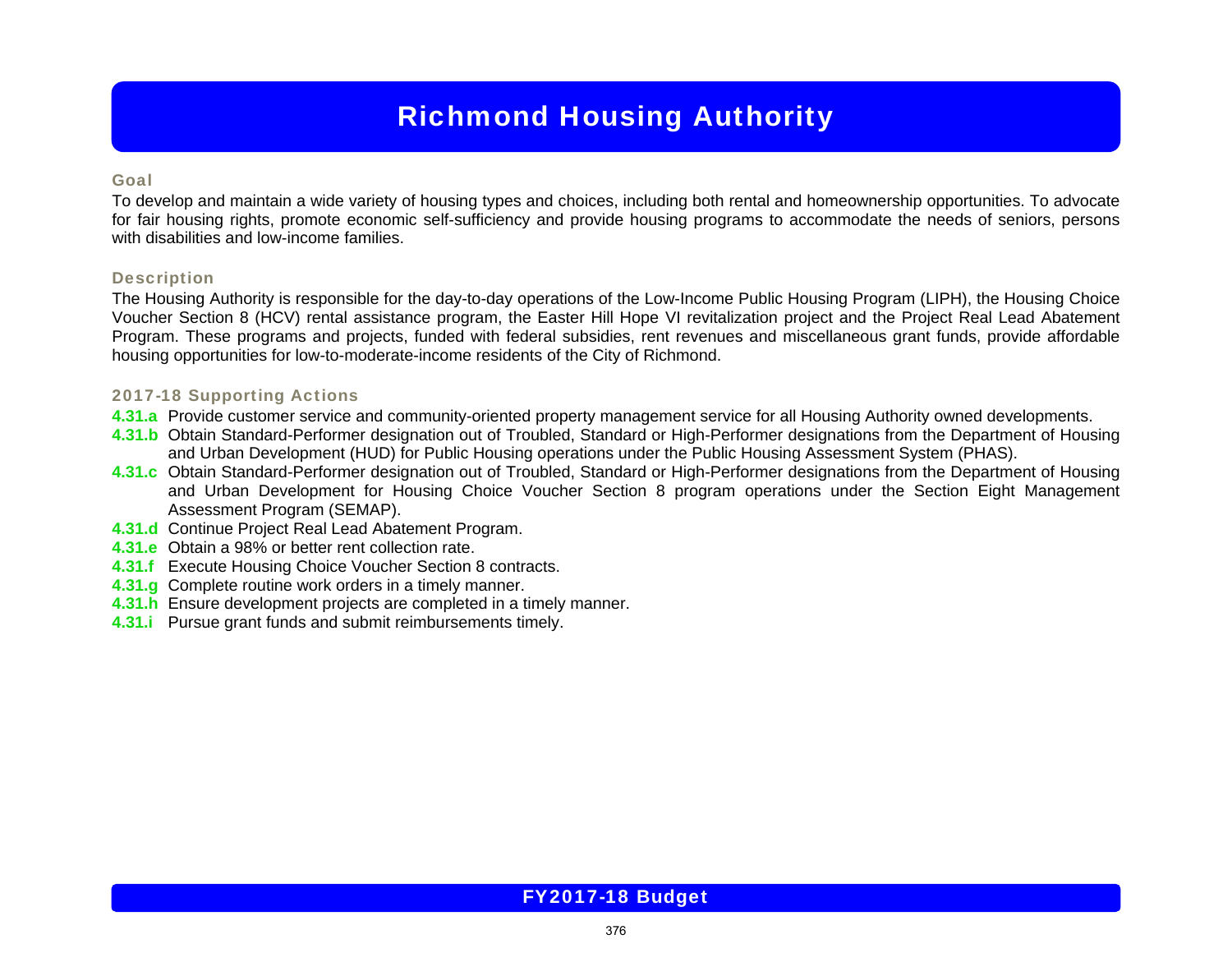### Goal

To develop and maintain a wide variety of housing types and choices, including both rental and homeownership opportunities. To advocate for fair housing rights, promote economic self-sufficiency and provide housing programs to accommodate the needs of seniors, persons with disabilities and low-income families.

### **Description**

The Housing Authority is responsible for the day-to-day operations of the Low-Income Public Housing Program (LIPH), the Housing Choice Voucher Section 8 (HCV) rental assistance program, the Easter Hill Hope VI revitalization project and the Project Real Lead Abatement Program. These programs and projects, funded with federal subsidies, rent revenues and miscellaneous grant funds, provide affordable housing opportunities for low-to-moderate-income residents of the City of Richmond.

### 2017-18 Supporting Actions

- **4.31.a** Provide customer service and community-oriented property management service for all Housing Authority owned developments.
- **4.31.b** Obtain Standard-Performer designation out of Troubled, Standard or High-Performer designations from the Department of Housing and Urban Development (HUD) for Public Housing operations under the Public Housing Assessment System (PHAS).
- **4.31.c** Obtain Standard-Performer designation out of Troubled, Standard or High-Performer designations from the Department of Housing and Urban Development for Housing Choice Voucher Section 8 program operations under the Section Eight Management Assessment Program (SEMAP).
- **4.31.d** Continue Project Real Lead Abatement Program.
- **4.31.e** Obtain a 98% or better rent collection rate.
- **4.31.f** Execute Housing Choice Voucher Section 8 contracts.
- **4.31.g** Complete routine work orders in a timely manner.
- **4.31.h** Ensure development projects are completed in a timely manner.
- **4.31.i** Pursue grant funds and submit reimbursements timely.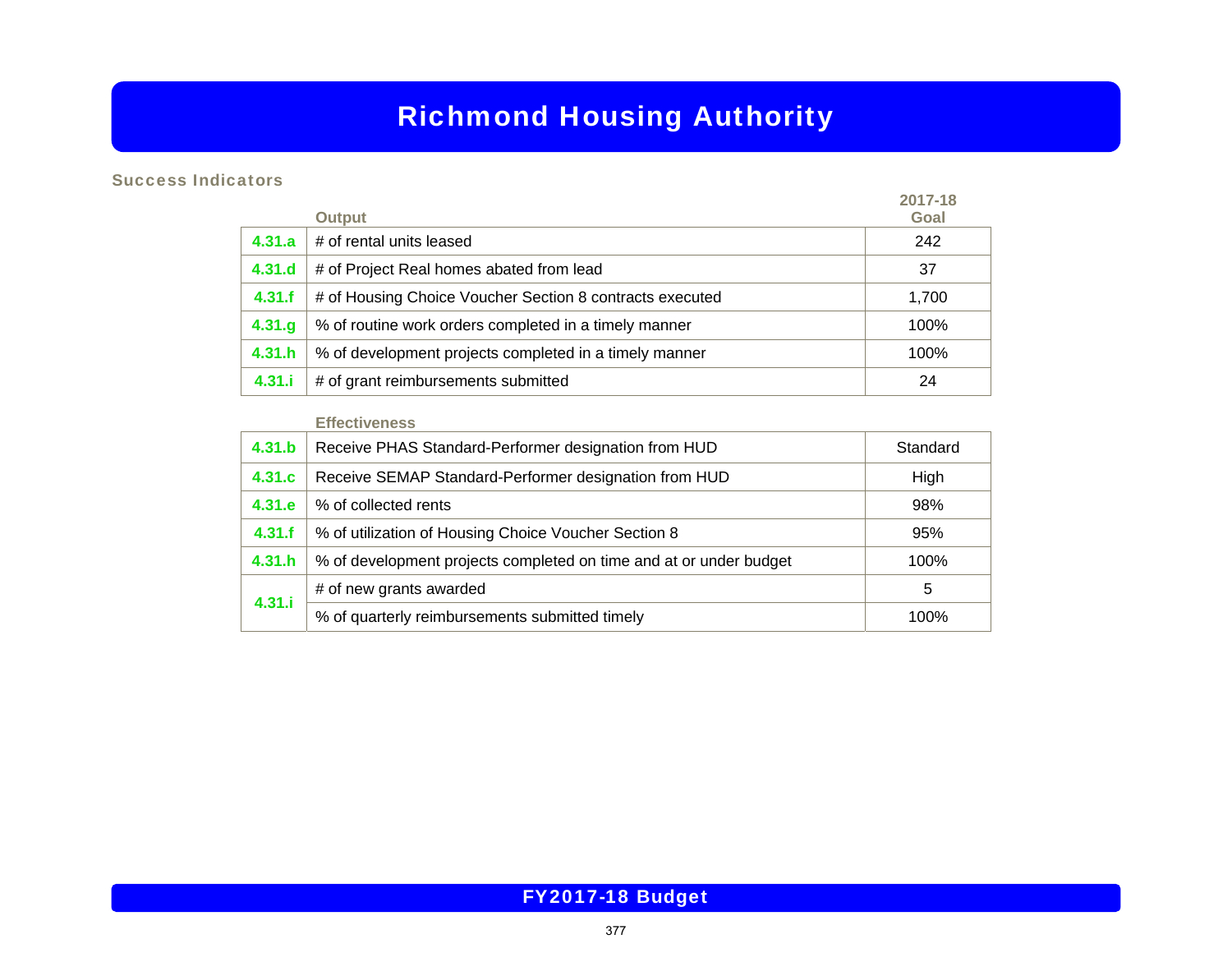## Success Indicators

|        |                                                          | 2017-18 |
|--------|----------------------------------------------------------|---------|
|        | <b>Output</b>                                            | Goal    |
| 4.31.a | # of rental units leased                                 | 242     |
| 4.31.d | # of Project Real homes abated from lead                 | 37      |
| 4.31.f | # of Housing Choice Voucher Section 8 contracts executed | 1,700   |
| 4.31.9 | % of routine work orders completed in a timely manner    | 100%    |
| 4.31.h | % of development projects completed in a timely manner   | 100%    |
| 4.31.i | # of grant reimbursements submitted                      | 24      |

#### **Effectiveness**

| 4.31.b | Receive PHAS Standard-Performer designation from HUD               | Standard |
|--------|--------------------------------------------------------------------|----------|
| 4.31.c | Receive SEMAP Standard-Performer designation from HUD              | High     |
| 4.31.e | % of collected rents                                               | 98%      |
| 4.31.f | % of utilization of Housing Choice Voucher Section 8               | 95%      |
| 4.31.h | % of development projects completed on time and at or under budget | 100%     |
|        | # of new grants awarded                                            | 5        |
| 4.31.i | % of quarterly reimbursements submitted timely                     | 100%     |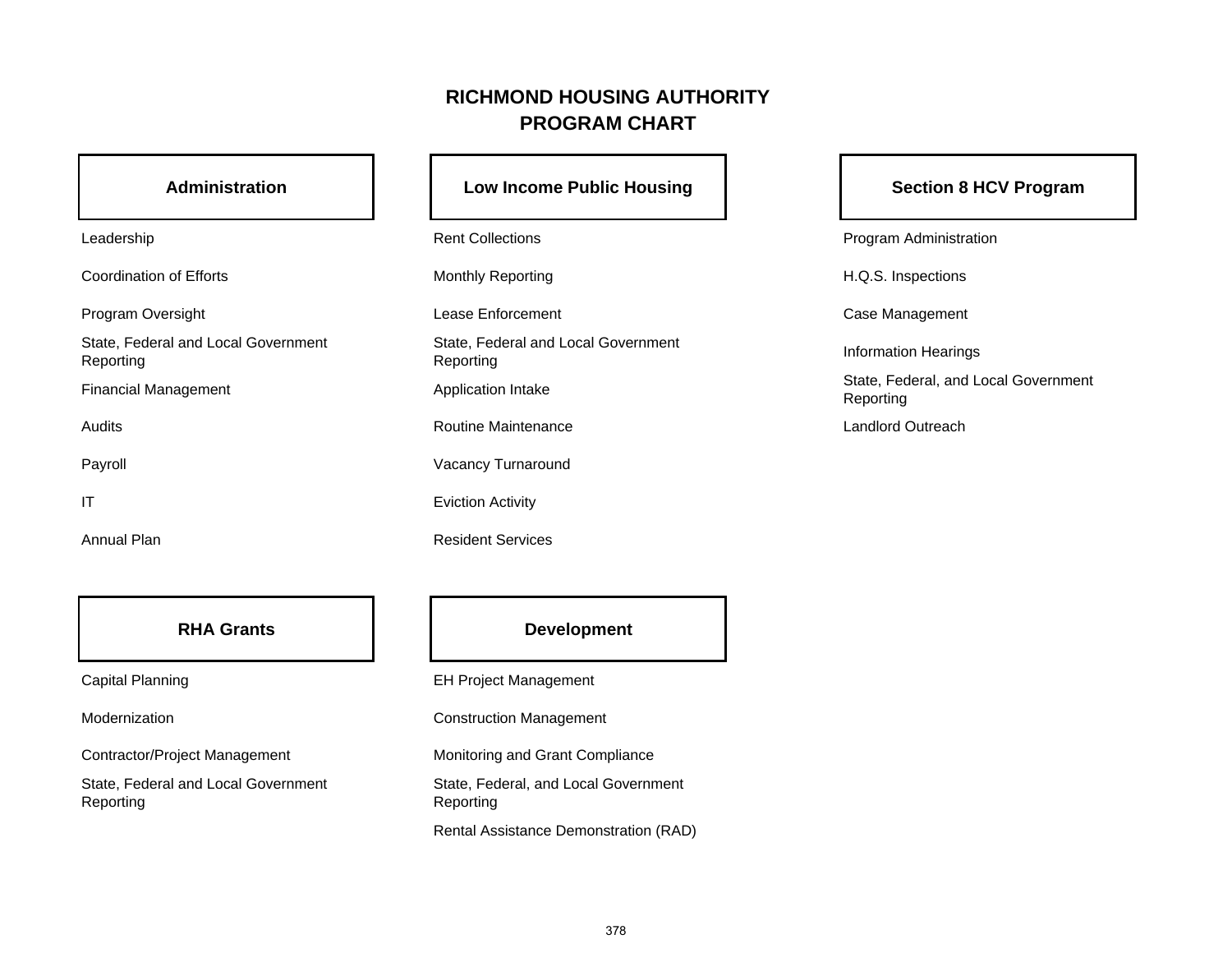# **RICHMOND HOUSING AUTHORITYPROGRAM CHART**

## **Administration**

| Leadership |  |
|------------|--|
|------------|--|

Coordination of Efforts

State, Federal and Local Government Reporting

Audits

IT

Annual Plan

## **RHA Grants**

Modernization

State, Federal and Local Government Reporting

# Low Income Public Housing **No. 1. 1. 1. Section 8 HCV Program**

Rent Collections **Program Administration** Monthly Reporting Monthly Reporting Monthly Reporting Music Research Assembly Reporting Music Reporting Music Research Assembly Reporting Music Reporting Music Reporting Music Reporting Music Reporting Music Reporting Musi Program Oversight **Case Case Case Case Management** Lease Enforcement Case Management Case Management State, Federal and Local Government State, i edetation Local Government<br>Reporting Information Hearings Routine Maintenance

Payroll **Payroll Payroll Payroll Payroll Payroll Payroll Payroll Payroll Payroll Payroll Payroll Payroll Payroll Payroll Payroll Payroll Payroll Payroll Payroll Payroll Payroll Pay** 

Eviction Activity

Resident Services

Financial Management Application Intake State, Federal, and Local Government<br>Reporting

Landlord Outreach

## **Development**

Capital Planning EH Project Management

Construction Management

Contractor/Project Management Monitoring and Grant Compliance

State, Federal, and Local Government Reporting

Rental Assistance Demonstration (RAD)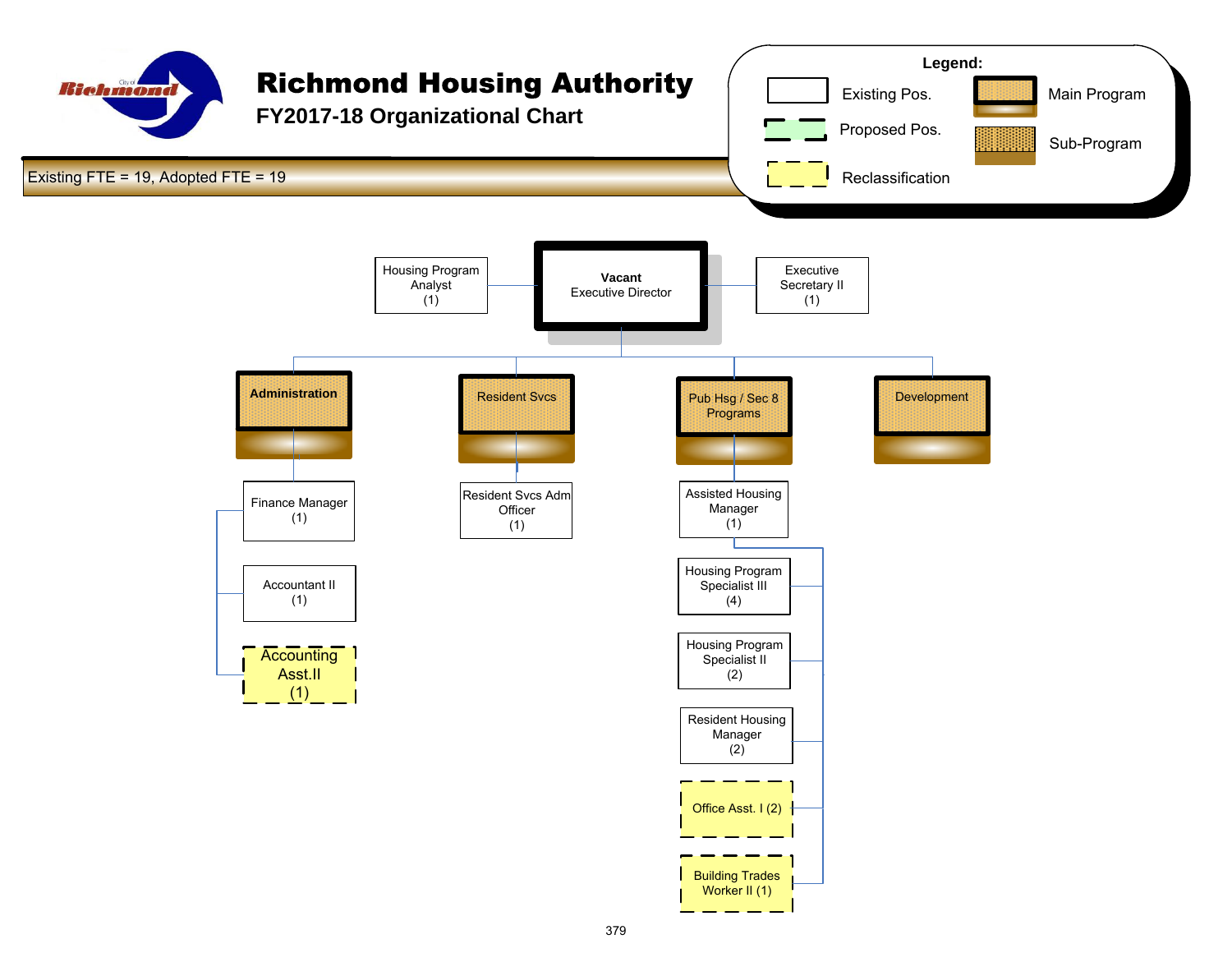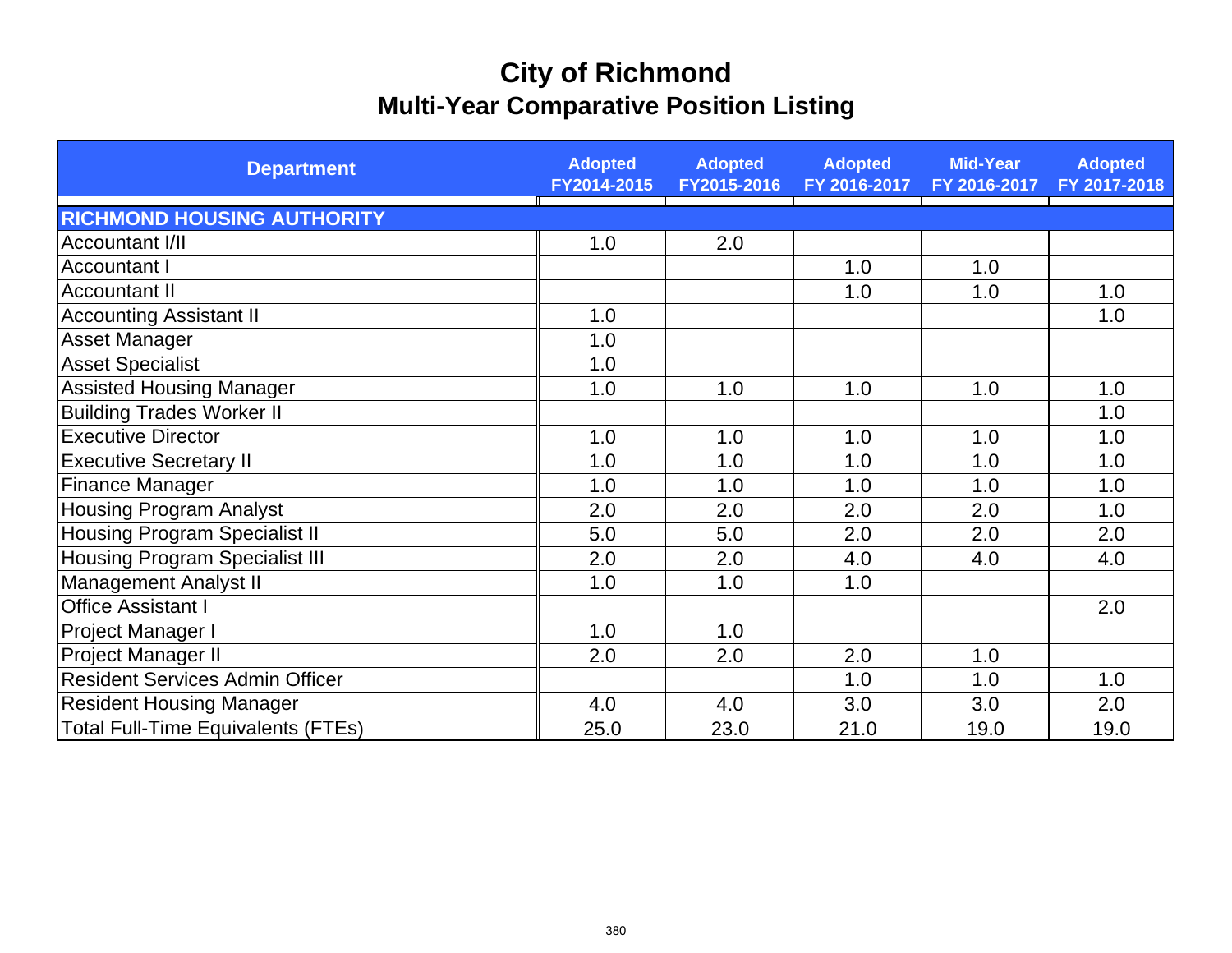# **City of Richmond Multi-Year Comparative Position Listing**

| <b>Department</b>                         | <b>Adopted</b><br>FY2014-2015 | <b>Adopted</b><br>FY2015-2016 | <b>Adopted</b><br>FY 2016-2017 | <b>Mid-Year</b><br>FY 2016-2017 | <b>Adopted</b><br>FY 2017-2018 |
|-------------------------------------------|-------------------------------|-------------------------------|--------------------------------|---------------------------------|--------------------------------|
| <b>RICHMOND HOUSING AUTHORITY</b>         |                               |                               |                                |                                 |                                |
| Accountant I/II                           | 1.0                           | 2.0                           |                                |                                 |                                |
| <b>Accountant I</b>                       |                               |                               | 1.0                            | 1.0                             |                                |
| <b>Accountant II</b>                      |                               |                               | 1.0                            | 1.0                             | 1.0                            |
| <b>Accounting Assistant II</b>            | 1.0                           |                               |                                |                                 | 1.0                            |
| <b>Asset Manager</b>                      | 1.0                           |                               |                                |                                 |                                |
| <b>Asset Specialist</b>                   | 1.0                           |                               |                                |                                 |                                |
| <b>Assisted Housing Manager</b>           | 1.0                           | 1.0                           | 1.0                            | 1.0                             | 1.0                            |
| <b>Building Trades Worker II</b>          |                               |                               |                                |                                 | 1.0                            |
| <b>Executive Director</b>                 | 1.0                           | 1.0                           | 1.0                            | 1.0                             | 1.0                            |
| <b>Executive Secretary II</b>             | 1.0                           | 1.0                           | 1.0                            | 1.0                             | 1.0                            |
| <b>Finance Manager</b>                    | 1.0                           | 1.0                           | 1.0                            | 1.0                             | 1.0                            |
| <b>Housing Program Analyst</b>            | 2.0                           | 2.0                           | 2.0                            | 2.0                             | 1.0                            |
| <b>Housing Program Specialist II</b>      | 5.0                           | 5.0                           | 2.0                            | 2.0                             | 2.0                            |
| <b>Housing Program Specialist III</b>     | 2.0                           | 2.0                           | 4.0                            | 4.0                             | 4.0                            |
| <b>Management Analyst II</b>              | 1.0                           | 1.0                           | 1.0                            |                                 |                                |
| Office Assistant I                        |                               |                               |                                |                                 | 2.0                            |
| Project Manager I                         | 1.0                           | 1.0                           |                                |                                 |                                |
| <b>Project Manager II</b>                 | 2.0                           | 2.0                           | 2.0                            | 1.0                             |                                |
| <b>Resident Services Admin Officer</b>    |                               |                               | 1.0                            | 1.0                             | 1.0                            |
| <b>Resident Housing Manager</b>           | 4.0                           | 4.0                           | 3.0                            | 3.0                             | 2.0                            |
| <b>Total Full-Time Equivalents (FTEs)</b> | 25.0                          | 23.0                          | 21.0                           | 19.0                            | 19.0                           |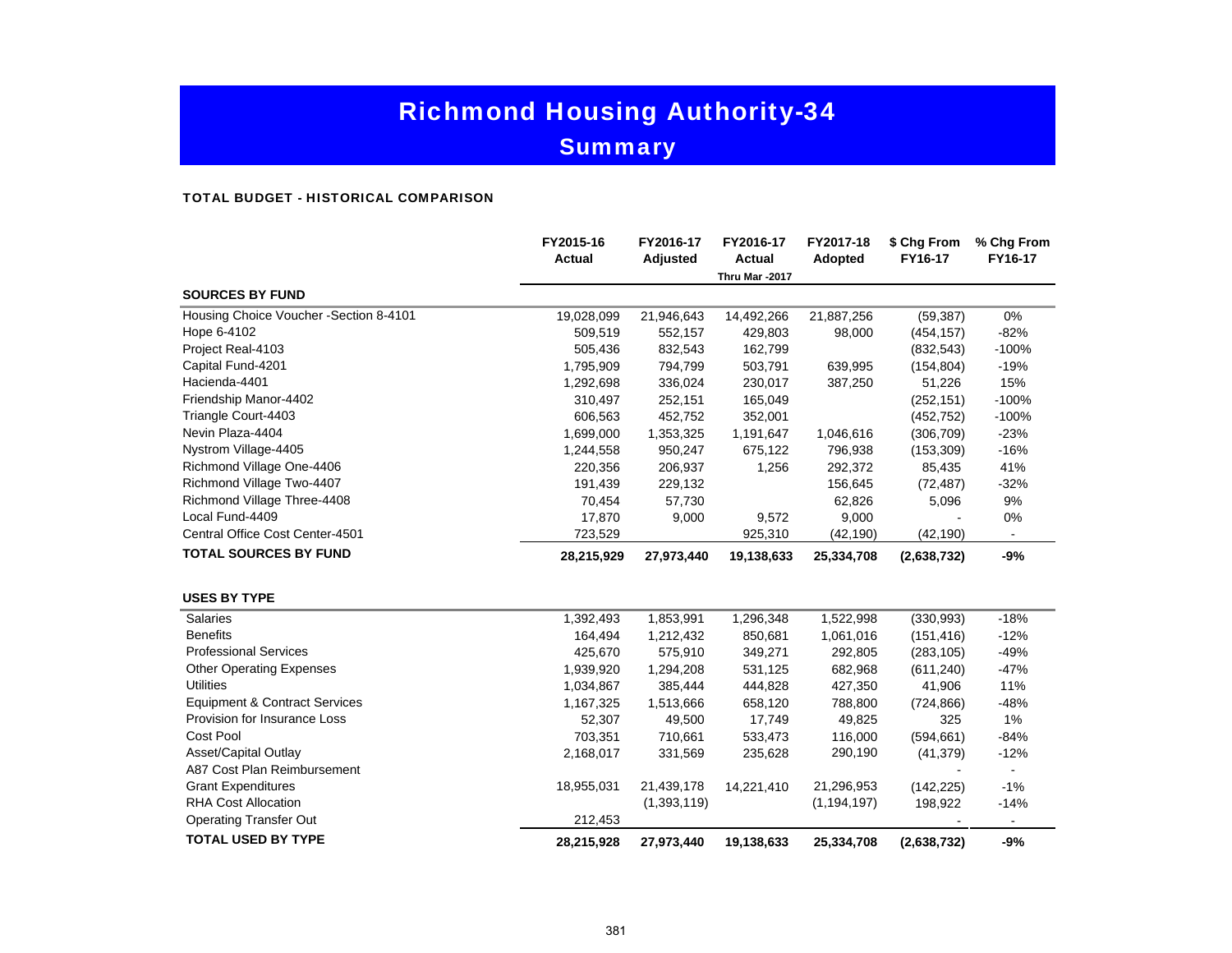**Summary** 

#### TOTAL BUDGET - HISTORICAL COMPARISON

|                                          | FY2015-16<br><b>Actual</b> | FY2016-17<br>Adjusted | FY2016-17<br><b>Actual</b> | FY2017-18<br>Adopted | \$ Chg From<br>FY16-17 | % Chg From<br>FY16-17 |
|------------------------------------------|----------------------------|-----------------------|----------------------------|----------------------|------------------------|-----------------------|
|                                          |                            |                       | Thru Mar -2017             |                      |                        |                       |
| <b>SOURCES BY FUND</b>                   |                            |                       |                            |                      |                        |                       |
| Housing Choice Voucher - Section 8-4101  | 19,028,099                 | 21,946,643            | 14,492,266                 | 21,887,256           | (59, 387)              | 0%                    |
| Hope 6-4102                              | 509,519                    | 552,157               | 429,803                    | 98,000               | (454, 157)             | $-82%$                |
| Project Real-4103                        | 505,436                    | 832,543               | 162,799                    |                      | (832, 543)             | $-100%$               |
| Capital Fund-4201                        | 1,795,909                  | 794,799               | 503,791                    | 639,995              | (154, 804)             | $-19%$                |
| Hacienda-4401                            | 1,292,698                  | 336,024               | 230,017                    | 387,250              | 51,226                 | 15%                   |
| Friendship Manor-4402                    | 310,497                    | 252,151               | 165,049                    |                      | (252, 151)             | $-100%$               |
| Triangle Court-4403                      | 606,563                    | 452,752               | 352,001                    |                      | (452, 752)             | $-100%$               |
| Nevin Plaza-4404                         | 1,699,000                  | 1,353,325             | 1,191,647                  | 1,046,616            | (306, 709)             | $-23%$                |
| Nystrom Village-4405                     | 1,244,558                  | 950,247               | 675,122                    | 796,938              | (153, 309)             | $-16%$                |
| Richmond Village One-4406                | 220,356                    | 206,937               | 1,256                      | 292,372              | 85,435                 | 41%                   |
| Richmond Village Two-4407                | 191,439                    | 229,132               |                            | 156,645              | (72, 487)              | $-32%$                |
| Richmond Village Three-4408              | 70,454                     | 57,730                |                            | 62,826               | 5,096                  | 9%                    |
| Local Fund-4409                          | 17,870                     | 9,000                 | 9,572                      | 9,000                |                        | 0%                    |
| Central Office Cost Center-4501          | 723,529                    |                       | 925,310                    | (42, 190)            | (42, 190)              |                       |
| <b>TOTAL SOURCES BY FUND</b>             | 28,215,929                 | 27,973,440            | 19,138,633                 | 25,334,708           | (2,638,732)            | $-9%$                 |
| <b>USES BY TYPE</b>                      |                            |                       |                            |                      |                        |                       |
| <b>Salaries</b>                          | 1,392,493                  | 1,853,991             | 1,296,348                  | 1,522,998            | (330, 993)             | $-18%$                |
| <b>Benefits</b>                          | 164,494                    | 1,212,432             | 850,681                    | 1,061,016            | (151, 416)             | $-12%$                |
| <b>Professional Services</b>             | 425,670                    | 575,910               | 349,271                    | 292,805              | (283, 105)             | $-49%$                |
| <b>Other Operating Expenses</b>          | 1,939,920                  | 1,294,208             | 531,125                    | 682,968              | (611, 240)             | $-47%$                |
| <b>Utilities</b>                         | 1,034,867                  | 385,444               | 444,828                    | 427,350              | 41,906                 | 11%                   |
| <b>Equipment &amp; Contract Services</b> | 1,167,325                  | 1,513,666             | 658,120                    | 788,800              | (724, 866)             | -48%                  |
| Provision for Insurance Loss             | 52,307                     | 49,500                | 17,749                     | 49,825               | 325                    | 1%                    |
| <b>Cost Pool</b>                         | 703,351                    | 710,661               | 533,473                    | 116,000              | (594, 661)             | $-84%$                |
| Asset/Capital Outlay                     | 2,168,017                  | 331,569               | 235,628                    | 290,190              | (41, 379)              | $-12%$                |
| A87 Cost Plan Reimbursement              |                            |                       |                            |                      |                        |                       |
| <b>Grant Expenditures</b>                | 18,955,031                 | 21,439,178            | 14,221,410                 | 21,296,953           | (142, 225)             | $-1%$                 |
| <b>RHA Cost Allocation</b>               |                            | (1,393,119)           |                            | (1, 194, 197)        | 198,922                | $-14%$                |
| <b>Operating Transfer Out</b>            | 212,453                    |                       |                            |                      |                        |                       |
| <b>TOTAL USED BY TYPE</b>                | 28,215,928                 | 27,973,440            | 19,138,633                 | 25,334,708           | (2,638,732)            | $-9%$                 |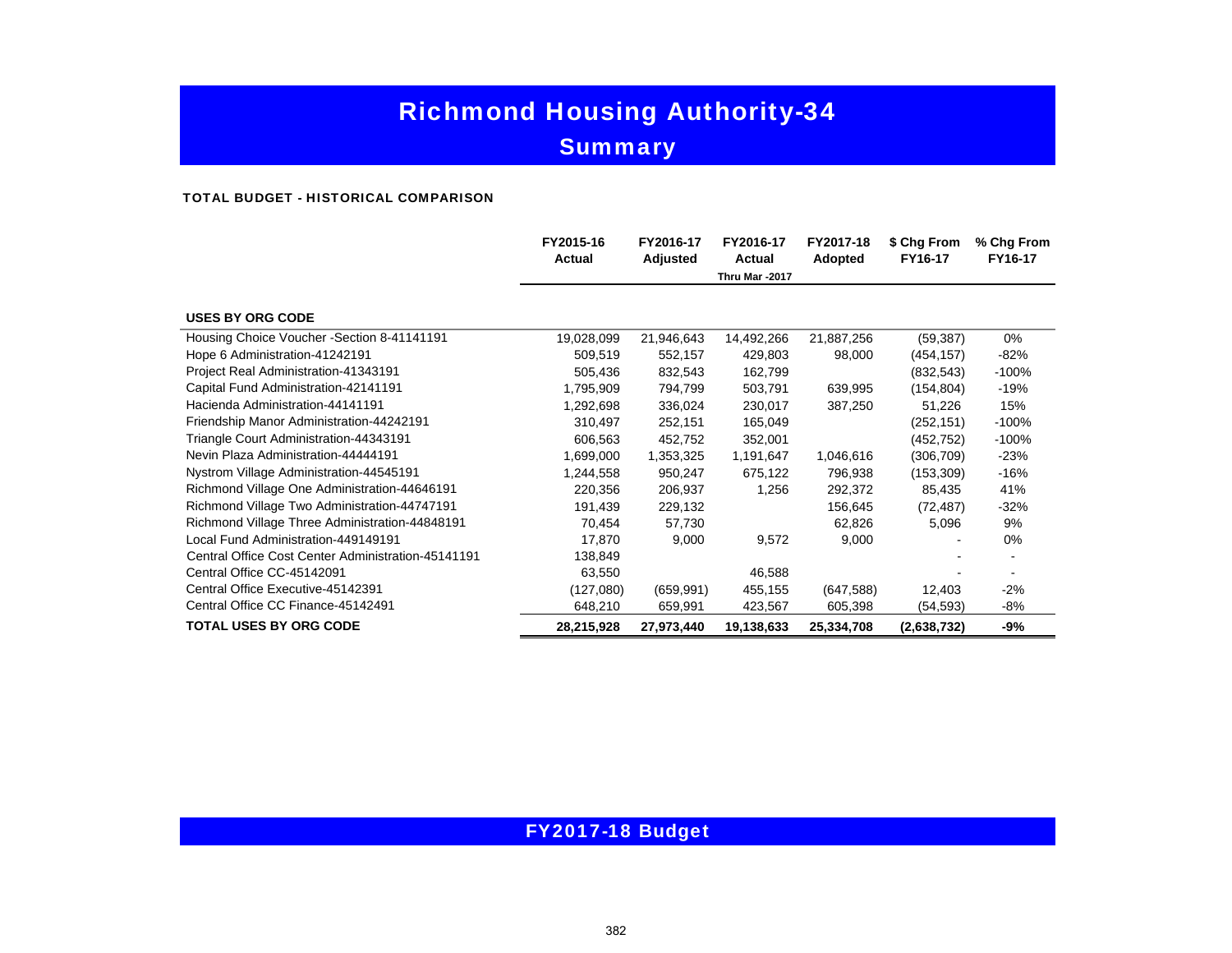# **Summary**

#### TOTAL BUDGET - HISTORICAL COMPARISON

|                                                    | FY2015-16<br><b>Actual</b> | FY2016-17<br>Adjusted | FY2016-17<br><b>Actual</b> | FY2017-18<br>Adopted | \$ Chg From<br>FY16-17 | % Chg From<br>FY16-17 |
|----------------------------------------------------|----------------------------|-----------------------|----------------------------|----------------------|------------------------|-----------------------|
|                                                    |                            |                       | Thru Mar -2017             |                      |                        |                       |
| <b>USES BY ORG CODE</b>                            |                            |                       |                            |                      |                        |                       |
| Housing Choice Voucher - Section 8-41141191        | 19,028,099                 | 21,946,643            | 14,492,266                 | 21,887,256           | (59, 387)              | $0\%$                 |
| Hope 6 Administration-41242191                     | 509,519                    | 552,157               | 429,803                    | 98,000               | (454, 157)             | -82%                  |
| Project Real Administration-41343191               | 505,436                    | 832,543               | 162,799                    |                      | (832, 543)             | $-100%$               |
| Capital Fund Administration-42141191               | 1,795,909                  | 794,799               | 503,791                    | 639,995              | (154, 804)             | -19%                  |
| Hacienda Administration-44141191                   | 1,292,698                  | 336,024               | 230,017                    | 387,250              | 51,226                 | 15%                   |
| Friendship Manor Administration-44242191           | 310,497                    | 252,151               | 165,049                    |                      | (252, 151)             | $-100%$               |
| Triangle Court Administration 44343191             | 606,563                    | 452,752               | 352,001                    |                      | (452,752)              | $-100%$               |
| Nevin Plaza Administration-44444191                | 1,699,000                  | 1,353,325             | 1,191,647                  | 1,046,616            | (306, 709)             | $-23%$                |
| Nystrom Village Administration-44545191            | 1,244,558                  | 950,247               | 675,122                    | 796,938              | (153, 309)             | -16%                  |
| Richmond Village One Administration-44646191       | 220,356                    | 206,937               | 1,256                      | 292,372              | 85,435                 | 41%                   |
| Richmond Village Two Administration-44747191       | 191,439                    | 229,132               |                            | 156,645              | (72, 487)              | $-32%$                |
| Richmond Village Three Administration-44848191     | 70,454                     | 57,730                |                            | 62,826               | 5,096                  | 9%                    |
| Local Fund Administration-449149191                | 17,870                     | 9,000                 | 9,572                      | 9,000                |                        | $0\%$                 |
| Central Office Cost Center Administration-45141191 | 138,849                    |                       |                            |                      |                        |                       |
| Central Office CC-45142091                         | 63,550                     |                       | 46,588                     |                      |                        |                       |
| Central Office Executive-45142391                  | (127,080)                  | (659, 991)            | 455,155                    | (647, 588)           | 12,403                 | -2%                   |
| Central Office CC Finance-45142491                 | 648,210                    | 659,991               | 423,567                    | 605,398              | (54, 593)              | -8%                   |
| <b>TOTAL USES BY ORG CODE</b>                      | 28,215,928                 | 27,973,440            | 19,138,633                 | 25,334,708           | (2,638,732)            | -9%                   |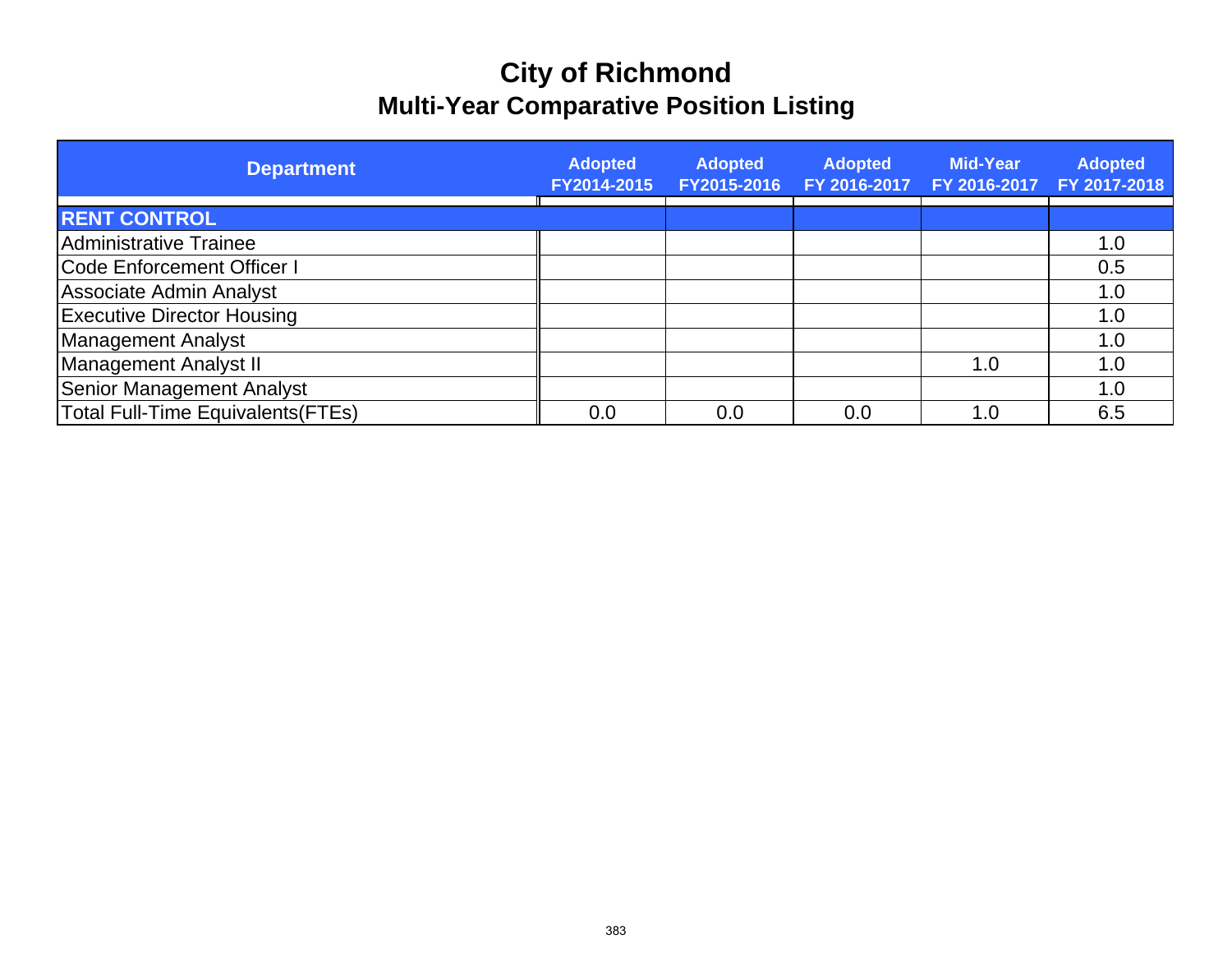# **City of Richmond Multi-Year Comparative Position Listing**

| <b>Department</b>                         | <b>Adopted</b><br>FY2014-2015 | <b>Adopted</b><br>FY2015-2016 | <b>Adopted</b><br>FY 2016-2017 | <b>Mid-Year</b><br>FY 2016-2017 | <b>Adopted</b><br>FY 2017-2018 |
|-------------------------------------------|-------------------------------|-------------------------------|--------------------------------|---------------------------------|--------------------------------|
| <b>RENT CONTROL</b>                       |                               |                               |                                |                                 |                                |
| Administrative Trainee                    |                               |                               |                                |                                 | 1.0                            |
| <b>Code Enforcement Officer I</b>         |                               |                               |                                |                                 | 0.5                            |
| <b>Associate Admin Analyst</b>            |                               |                               |                                |                                 | 1.0                            |
| <b>Executive Director Housing</b>         |                               |                               |                                |                                 | 1.0                            |
| Management Analyst                        |                               |                               |                                |                                 | 1.0                            |
| Management Analyst II                     |                               |                               |                                | 1.0                             | 1.0                            |
| <b>Senior Management Analyst</b>          |                               |                               |                                |                                 | 1.0                            |
| <b>Total Full-Time Equivalents (FTEs)</b> | 0.0                           | 0.0                           | 0.0                            | 1.0                             | 6.5                            |